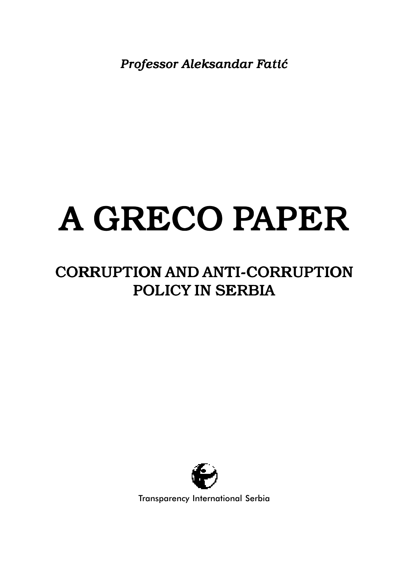*Professor Aleksandar Fati}*

# A GRECO PAPER

# CORRUPTION AND ANTI-CORRUPTION POLICY IN SERBIA



Transparency International Serbia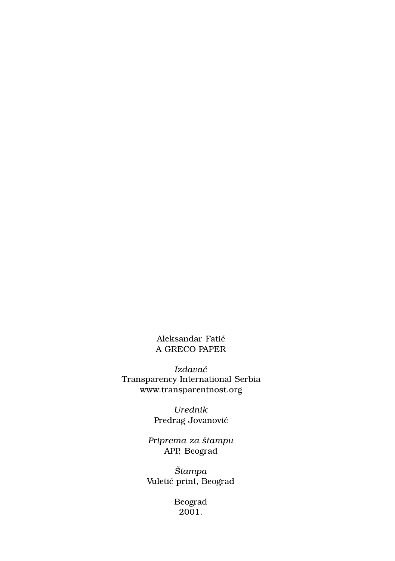Aleksandar Fatić A GRECO PAPER

*Izdava~* Transparency International Serbia www.transparentnost.org

> *Urednik* Predrag Jovanović

*Priprema za {tampu* APP, Beograd

 $\check{S}$ *tampa* Vuletić print, Beograd

> Beograd 2001.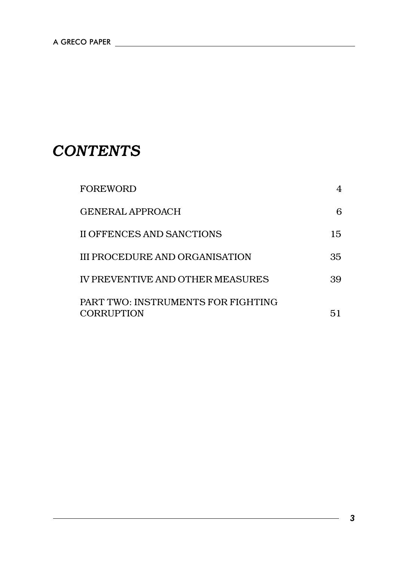# *CONTENTS*

| <b>FOREWORD</b>                                         | 4   |
|---------------------------------------------------------|-----|
| GENERAL APPROACH                                        | 6   |
| II OFFENCES AND SANCTIONS                               | 15  |
| III PROCEDURE AND ORGANISATION                          | 35  |
| IV PREVENTIVE AND OTHER MEASURES                        | 39. |
| PART TWO: INSTRUMENTS FOR FIGHTING<br><b>CORRUPTION</b> | 51  |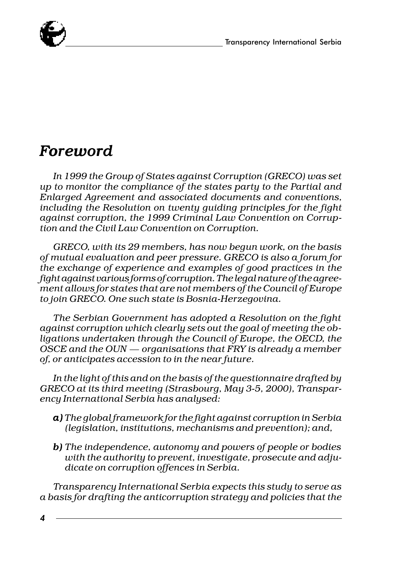

# *Foreword*

*In 1999 the Group of States against Corruption (GRECO) was set up to monitor the compliance of the states party to the Partial and Enlarged Agreement and associated documents and conventions, including the Resolution on twenty guiding principles for the fight against corruption, the 1999 Criminal Law Convention on Corruption and the Civil Law Convention on Corruption.*

*GRECO, with its 29 members, has now begun work, on the basis of mutual evaluation and peer pressure. GRECO is also a forum for the exchange of experience and examples of good practices in the fight against various forms of corruption. The legal nature of the agreement allows for states that are not members of the Council of Europe to join GRECO. One such state is Bosnia-Herzegovina.*

*The Serbian Government has adopted a Resolution on the fight against corruption which clearly sets out the goal of meeting the obligations undertaken through the Council of Europe, the OECD, the OSCE and the OUN organisations that FRY is already a member of, or anticipates accession to in the near future.*

*In the light of this and on the basis of the questionnaire drafted by GRECO at its third meeting (Strasbourg, May 3-5, 2000), Transparency International Serbia has analysed:*

- *a) The global framework for the fight against corruption in Serbia a) (legislation, institutions, mechanisms and prevention); and,*
- *b) The independence, autonomy and powers of people or bodies b) with the authority to prevent, investigate, prosecute and adjudicate on corruption offences in Serbia.*

*Transparency International Serbia expects this study to serve as a basis for drafting the anticorruption strategy and policies that the*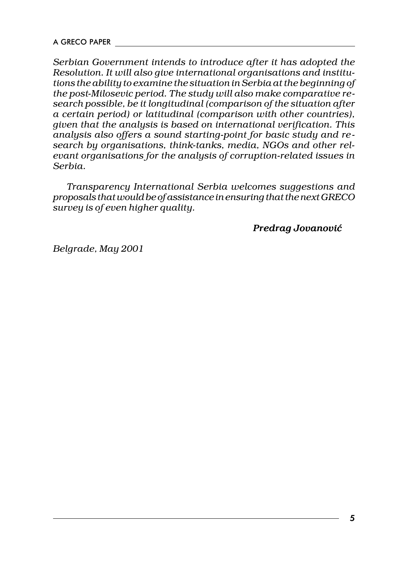*Serbian Government intends to introduce after it has adopted the Resolution. It will also give international organisations and institutions the ability to examine the situation in Serbia at the beginning of the post-Milosevic period. The study will also make comparative research possible, be it longitudinal (comparison of the situation after a certain period) or latitudinal (comparison with other countries), given that the analysis is based on international verification. This analysis also offers a sound starting-point for basic study and research by organisations, think-tanks, media, NGOs and other relevant organisations for the analysis of corruption-related issues in Serbia.*

*Transparency International Serbia welcomes suggestions and proposals that would be of assistance in ensuring that the next GRECO survey is of even higher quality.*

#### *Predrag Jovanovi}*

*Belgrade, May 2001*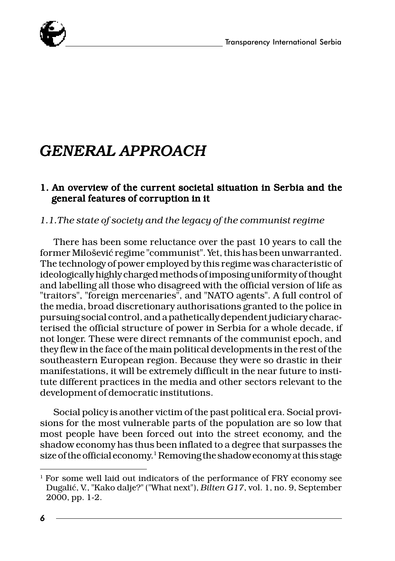

# *GENERAL APPROACH*

#### 1. An overview of the current societal situation in Serbia and the general features of corruption in it

#### *1.1.The state of society and the legacy of the communist regime*

There has been some reluctance over the past 10 years to call the former Milošević regime "communist". Yet, this has been unwarranted. The technology of power employed by this regime was characteristic of ideologically highly charged methods of imposing uniformity of thought and labelling all those who disagreed with the official version of life as "traitors", "foreign mercenaries", and "NATO agents". A full control of the media, broad discretionary authorisations granted to the police in pursuing social control, and a pathetically dependent judiciary characterised the official structure of power in Serbia for a whole decade, if not longer. These were direct remnants of the communist epoch, and they flew in the face of the main political developments in the rest of the southeastern European region. Because they were so drastic in their manifestations, it will be extremely difficult in the near future to institute different practices in the media and other sectors relevant to the development of democratic institutions.

Social policy is another victim of the past political era. Social provisions for the most vulnerable parts of the population are so low that most people have been forced out into the street economy, and the shadow economy has thus been inflated to a degree that surpasses the size of the official economy.<sup>1</sup> Removing the shadow economy at this stage

<sup>&</sup>lt;sup>1</sup> For some well laid out indicators of the performance of FRY economy see Dugali}, V., "Kako dalje?" ("What next"), *Bilten G17*, vol. 1, no. 9, September 2000, pp. 1-2.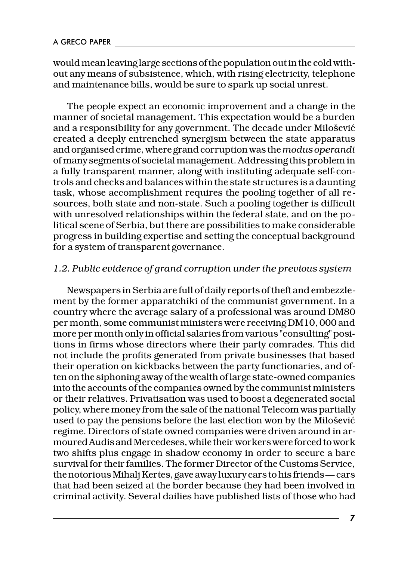would mean leaving large sections of the population out in the cold without any means of subsistence, which, with rising electricity, telephone and maintenance bills, would be sure to spark up social unrest.

The people expect an economic improvement and a change in the manner of societal management. This expectation would be a burden and a responsibility for any government. The decade under Milošević created a deeply entrenched synergism between the state apparatus and organised crime, where grand corruption was the *modus operandi* of many segments of societal management. Addressing this problem in a fully transparent manner, along with instituting adequate self-controls and checks and balances within the state structures is a daunting task, whose accomplishment requires the pooling together of all resources, both state and non-state. Such a pooling together is difficult with unresolved relationships within the federal state, and on the political scene of Serbia, but there are possibilities to make considerable progress in building expertise and setting the conceptual background for a system of transparent governance.

#### *1.2. Public evidence of grand corruption under the previous system*

Newspapers in Serbia are full of daily reports of theft and embezzlement by the former apparatchiki of the communist government. In a country where the average salary of a professional was around DM80 per month, some communist ministers were receiving DM10, 000 and more per month only in official salaries from various "consulting" positions in firms whose directors where their party comrades. This did not include the profits generated from private businesses that based their operation on kickbacks between the party functionaries, and often on the siphoning away of the wealth of large state-owned companies into the accounts of the companies owned by the communist ministers or their relatives. Privatisation was used to boost a degenerated social policy, where money from the sale of the national Telecom was partially used to pay the pensions before the last election won by the Milošević regime. Directors of state owned companies were driven around in armoured Audis and Mercedeses, while their workers were forced to work two shifts plus engage in shadow economy in order to secure a bare survival for their families. The former Director of the Customs Service, the notorious Mihalj Kertes, gave away luxury cars to his friends — cars that had been seized at the border because they had been involved in criminal activity. Several dailies have published lists of those who had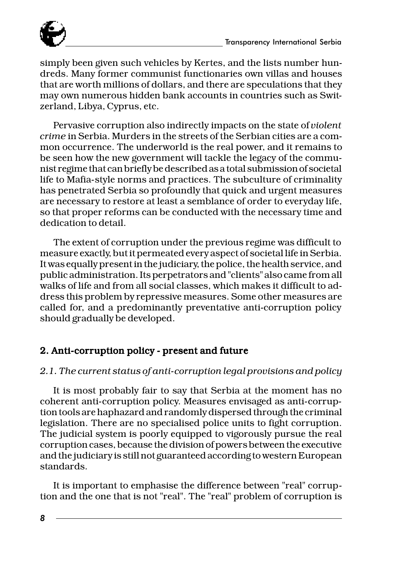

simply been given such vehicles by Kertes, and the lists number hundreds. Many former communist functionaries own villas and houses that are worth millions of dollars, and there are speculations that they may own numerous hidden bank accounts in countries such as Switzerland, Libya, Cyprus, etc.

Pervasive corruption also indirectly impacts on the state of *violent crime* in Serbia. Murders in the streets of the Serbian cities are a common occurrence. The underworld is the real power, and it remains to be seen how the new government will tackle the legacy of the communist regime that can briefly be described as a total submission of societal life to Mafia-style norms and practices. The subculture of criminality has penetrated Serbia so profoundly that quick and urgent measures are necessary to restore at least a semblance of order to everyday life, so that proper reforms can be conducted with the necessary time and dedication to detail.

The extent of corruption under the previous regime was difficult to measure exactly, but it permeated every aspect of societal life in Serbia. It was equally present in the judiciary, the police, the health service, and public administration. Its perpetrators and "clients" also came from all walks of life and from all social classes, which makes it difficult to address this problem by repressive measures. Some other measures are called for, and a predominantly preventative anti-corruption policy should gradually be developed.

#### 2. Anti-corruption policy - present and future

#### *2.1. The current status of anti-corruption legal provisions and policy*

It is most probably fair to say that Serbia at the moment has no coherent anti-corruption policy. Measures envisaged as anti-corruption tools are haphazard and randomly dispersed through the criminal legislation. There are no specialised police units to fight corruption. The judicial system is poorly equipped to vigorously pursue the real corruption cases, because the division of powers between the executive and the judiciary is still not guaranteed according to western European standards.

It is important to emphasise the difference between "real" corruption and the one that is not "real". The "real" problem of corruption is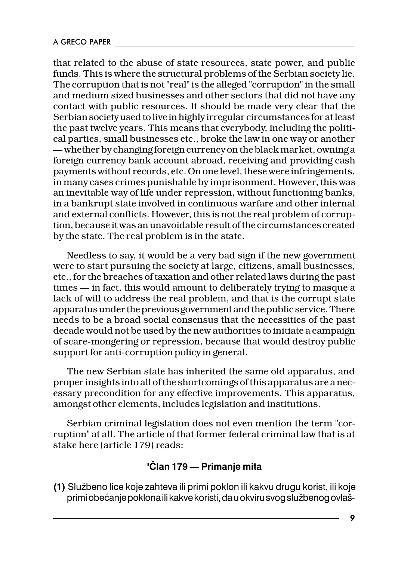that related to the abuse of state resources, state power, and public funds. This is where the structural problems of the Serbian society lie. The corruption that is not "real" is the alleged "corruption" in the small and medium sized businesses and other sectors that did not have any contact with public resources. It should be made very clear that the Serbian society used to live in highly irregular circumstances for at least the past twelve years. This means that everybody, including the political parties, small businesses etc., broke the law in one way or another whether by changing foreign currency on the black market, owning a foreign currency bank account abroad, receiving and providing cash payments without records, etc. On one level, these were infringements, in many cases crimes punishable by imprisonment. However, this was an inevitable way of life under repression, without functioning banks, in a bankrupt state involved in continuous warfare and other internal and external conflicts. However, this is not the real problem of corruption, because it was an unavoidable result of the circumstances created by the state. The real problem is in the state.

Needless to say, it would be a very bad sign if the new government were to start pursuing the society at large, citizens, small businesses, etc., for the breaches of taxation and other related laws during the past  $times -$  in fact, this would amount to deliberately trying to masque a lack of will to address the real problem, and that is the corrupt state apparatus under the previous government and the public service. There needs to be a broad social consensus that the necessities of the past decade would not be used by the new authorities to initiate a campaign of scare-mongering or repression, because that would destroy public support for anti-corruption policy in general.

The new Serbian state has inherited the same old apparatus, and proper insights into all of the shortcomings of this apparatus are a necessary precondition for any effective improvements. This apparatus, amongst other elements, includes legislation and institutions.

Serbian criminal legislation does not even mention the term "corruption" at all. The article of that former federal criminal law that is at stake here (article 179) reads:

#### "**^lan 179 Primanje mita**

**(1)** Slu`beno lice koje zahteva ili primi poklon ili kakvu drugu korist, ili koje primi obećanje poklona ili kakve koristi, da u okviru svog službenog ovlaš-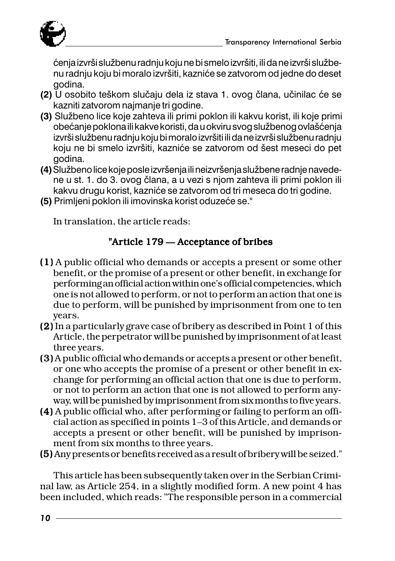

ćenja izvrši službenu radnju koju ne bi smelo izvršiti, ili da ne izvrši službenu radnju koju bi moralo izvršiti, kazniće se zatvorom od jedne do deset godina.

- **(2)** U osobito teškom slučaju dela iz stava 1. ovog člana, učinilac će se kazniti zatvorom najmanje tri godine.
- **(3)** Slu`beno lice koje zahteva ili primi poklon ili kakvu korist, ili koje primi obećanje poklona ili kakve koristi, da u okviru svog službenog ovlašćenja izvrši slu $\check{\textsf{z}}$ benu radnju koju bi moralo izvršiti ili da ne izvrši službenu radnju koju ne bi smelo izvršiti, kazniće se zatvorom od šest meseci do pet godina.
- (4) Službeno lice koje posle izvršenja ili neizvršenja službene radnje navedene u st. 1. do 3. ovog člana, a u vezi s njom zahteva ili primi poklon ili kakvu drugu korist, kazniće se zatvorom od tri meseca do tri godine.
- **(5)** Primljeni poklon ili imovinska korist oduzeće se."

In translation, the article reads:

#### "Article  $179$   $-$  Acceptance of bribes

- (1) A public official who demands or accepts a present or some other (1) benefit, or the promise of a present or other benefit, in exchange for performing an official action within one's official competencies, which one is not allowed to perform, or not to perform an action that one is due to perform, will be punished by imprisonment from one to ten years.
- (2) In a particularly grave case of bribery as described in Point 1 of this (2) Article, the perpetrator will be punished by imprisonment of at least three years.
- (3) A public official who demands or accepts a present or other benefit, (3) or one who accepts the promise of a present or other benefit in exchange for performing an official action that one is due to perform, or not to perform an action that one is not allowed to perform anyway, will be punished by imprisonment from six months to five years.
- (4) Apublic official who, after performing or failing to perform an official action as specified in points 1-3 of this Article, and demands or accepts a present or other benefit, will be punished by imprisonment from six months to three years.
- (5) Any presents or benefits received as a result of bribery will be seized."

This article has been subsequently taken over in the Serbian Criminal law, as Article 254, in a slightly modified form. A new point 4 has been included, which reads: "The responsible person in a commercial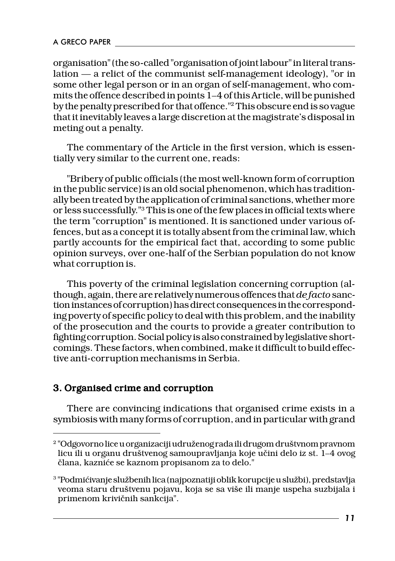organisation" (the so-called "organisation of joint labour" in literal translation — a relict of the communist self-management ideology), "or in some other legal person or in an organ of self-management, who commits the offence described in points 14 of this Article, will be punished by the penalty prescribed for that offence."2 This obscure end is so vague that it inevitably leaves a large discretion at the magistrate's disposal in meting out a penalty.

The commentary of the Article in the first version, which is essentially very similar to the current one, reads:

"Bribery of public officials (the most well-known form of corruption in the public service) is an old social phenomenon, which has traditionally been treated by the application of criminal sanctions, whether more or less successfully."3 This is one of the few places in official texts where the term "corruption" is mentioned. It is sanctioned under various offences, but as a concept it is totally absent from the criminal law, which partly accounts for the empirical fact that, according to some public opinion surveys, over one-half of the Serbian population do not know what corruption is.

This poverty of the criminal legislation concerning corruption (although, again, there are relatively numerous offences that *de facto* sanction instances of corruption) has direct consequences in the corresponding poverty of specific policy to deal with this problem, and the inability of the prosecution and the courts to provide a greater contribution to fighting corruption. Social policy is also constrained by legislative shortcomings. These factors, when combined, make it difficult to build effective anti-corruption mechanisms in Serbia.

#### 3. Organised crime and corruption

There are convincing indications that organised crime exists in a symbiosis with many forms of corruption, and in particular with grand

<sup>&</sup>lt;sup>2</sup> "Odgovorno lice u organizaciji udruženog rada ili drugom društvnom pravnom licu ili u organu društvenog samoupravljanja koje učini delo iz st. 1–4 ovog ~lana, kazni}e se kaznom propisanom za to delo."

 $^{\rm 3}$ "Podmićivanje službenih lica (najpoznatiji oblik korupcije u službi), predstavlja veoma staru društvenu pojavu, koja se sa više ili manje uspeha suzbijala i primenom krivičnih sankcija".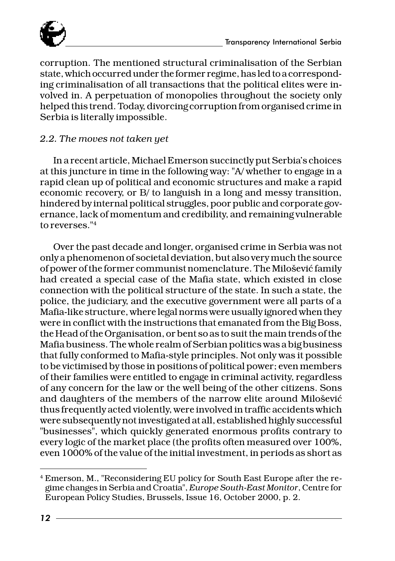

corruption. The mentioned structural criminalisation of the Serbian state, which occurred under the former regime, has led to a corresponding criminalisation of all transactions that the political elites were involved in. A perpetuation of monopolies throughout the society only helped this trend. Today, divorcing corruption from organised crime in Serbia is literally impossible.

#### *2.2. The moves not taken yet*

In a recent article, Michael Emerson succinctly put Serbia's choices at this juncture in time in the following way: "A/ whether to engage in a rapid clean up of political and economic structures and make a rapid economic recovery, or B/ to languish in a long and messy transition, hindered by internal political struggles, poor public and corporate governance, lack of momentum and credibility, and remaining vulnerable to reverses."4

Over the past decade and longer, organised crime in Serbia was not only a phenomenon of societal deviation, but also very much the source of power of the former communist nomenclature. The Milošević family had created a special case of the Mafia state, which existed in close connection with the political structure of the state. In such a state, the police, the judiciary, and the executive government were all parts of a Mafia-like structure, where legal norms were usually ignored when they were in conflict with the instructions that emanated from the Big Boss, the Head of the Organisation, or bent so as to suit the main trends of the Mafia business. The whole realm of Serbian politics was a big business that fully conformed to Mafia-style principles. Not only was it possible to be victimised by those in positions of political power; even members of their families were entitled to engage in criminal activity, regardless of any concern for the law or the well being of the other citizens. Sons and daughters of the members of the narrow elite around Milošević thus frequently acted violently, were involved in traffic accidents which were subsequently not investigated at all, established highly successful "businesses", which quickly generated enormous profits contrary to every logic of the market place (the profits often measured over 100%, even 1000% of the value of the initial investment, in periods as short as

<sup>4</sup> Emerson, M., "Reconsidering EU policy for South East Europe after the regime changes in Serbia and Croatia", *Europe South-East Monitor*, Centre for European Policy Studies, Brussels, Issue 16, October 2000, p. 2.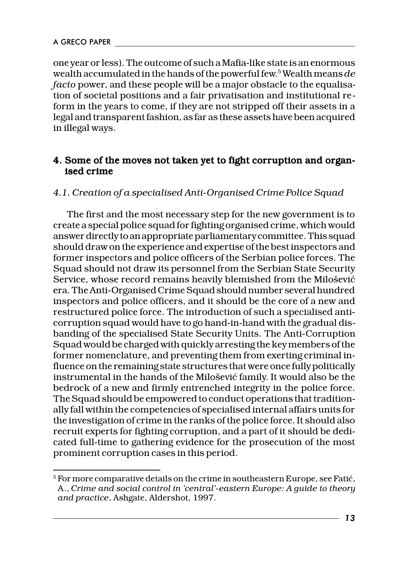one year or less). The outcome of such a Mafia-like state is an enormous wealth accumulated in the hands of the powerful few.5 Wealth means *de facto* power, and these people will be a major obstacle to the equalisation of societal positions and a fair privatisation and institutional reform in the years to come, if they are not stripped off their assets in a legal and transparent fashion, as far as these assets have been acquired in illegal ways.

#### 4. Some of the moves not taken yet to fight corruption and organised crime

#### *4.1. Creation of a specialised Anti-Organised Crime Police Squad*

The first and the most necessary step for the new government is to create a special police squad for fighting organised crime, which would answer directly to an appropriate parliamentary committee. This squad should draw on the experience and expertise of the best inspectors and former inspectors and police officers of the Serbian police forces. The Squad should not draw its personnel from the Serbian State Security Service, whose record remains heavily blemished from the Milošević era. The Anti-Organised Crime Squad should number several hundred inspectors and police officers, and it should be the core of a new and restructured police force. The introduction of such a specialised anticorruption squad would have to go hand-in-hand with the gradual disbanding of the specialised State Security Units. The Anti-Corruption Squad would be charged with quickly arresting the key members of the former nomenclature, and preventing them from exerting criminal influence on the remaining state structures that were once fully politically instrumental in the hands of the Milošević family. It would also be the bedrock of a new and firmly entrenched integrity in the police force. The Squad should be empowered to conduct operations that traditionally fall within the competencies of specialised internal affairs units for the investigation of crime in the ranks of the police force. It should also recruit experts for fighting corruption, and a part of it should be dedicated full-time to gathering evidence for the prosecution of the most prominent corruption cases in this period.

<sup>&</sup>lt;sup>5</sup> For more comparative details on the crime in southeastern Europe, see Fatić, A., *Crime and social control in 'central'-eastern Europe: A guide to theory and practice*, Ashgate, Aldershot, 1997.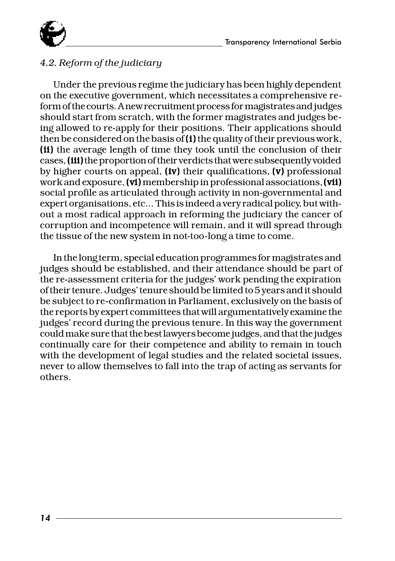

#### *4.2. Reform of the judiciary*

Under the previous regime the judiciary has been highly dependent on the executive government, which necessitates a comprehensive reform of the courts. A new recruitment process for magistrates and judges should start from scratch, with the former magistrates and judges being allowed to re-apply for their positions. Their applications should then be considered on the basis of  $(i)$  the quality of their previous work, (ii) the average length of time they took until the conclusion of their cases, (iii) the proportion of their verdicts that were subsequently voided by higher courts on appeal,  $(iv)$  their qualifications,  $(v)$  professional work and exposure, (vi) membership in professional associations, (vii) social profile as articulated through activity in non-governmental and expert organisations, etc... This is indeed a very radical policy, but without a most radical approach in reforming the judiciary the cancer of corruption and incompetence will remain, and it will spread through the tissue of the new system in not-too-long a time to come.

In the long term, special education programmes for magistrates and judges should be established, and their attendance should be part of the re-assessment criteria for the judges' work pending the expiration of their tenure. Judges' tenure should be limited to 5 years and it should be subject to re-confirmation in Parliament, exclusively on the basis of the reports by expert committees that will argumentatively examine the judges' record during the previous tenure. In this way the government could make sure that the best lawyers become judges, and that the judges continually care for their competence and ability to remain in touch with the development of legal studies and the related societal issues, never to allow themselves to fall into the trap of acting as servants for others.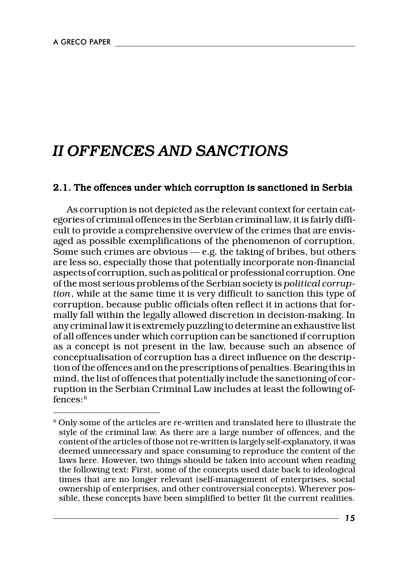## *II OFFENCES AND SANCTIONS*

#### 2.1. The offences under which corruption is sanctioned in Serbia

As corruption is not depicted as the relevant context for certain categories of criminal offences in the Serbian criminal law, it is fairly difficult to provide a comprehensive overview of the crimes that are envisaged as possible exemplifications of the phenomenon of corruption. Some such crimes are obvious — e.g. the taking of bribes, but others are less so, especially those that potentially incorporate non-financial aspects of corruption, such as political or professional corruption. One of the most serious problems of the Serbian society is *political corruption*, while at the same time it is very difficult to sanction this type of corruption, because public officials often reflect it in actions that formally fall within the legally allowed discretion in decision-making. In any criminal law it is extremely puzzling to determine an exhaustive list of all offences under which corruption can be sanctioned if corruption as a concept is not present in the law, because such an absence of conceptualisation of corruption has a direct influence on the description of the offences and on the prescriptions of penalties. Bearing this in mind, the list of offences that potentially include the sanctioning of corruption in the Serbian Criminal Law includes at least the following offences:6

<sup>6</sup> Only some of the articles are re-written and translated here to illustrate the style of the criminal law. As there are a large number of offences, and the content of the articles of those not re-written is largely self-explanatory, it was deemed unnecessary and space consuming to reproduce the content of the laws here. However, two things should be taken into account when reading the following text: First, some of the concepts used date back to ideological times that are no longer relevant (self-management of enterprises, social ownership of enterprises, and other controversial concepts). Wherever possible, these concepts have been simplified to better fit the current realities.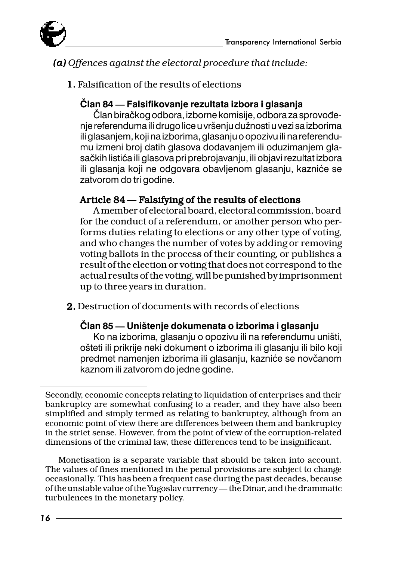



#### *(a) Offences against the electoral procedure that include: (a)*

1. Falsification of the results of elections 1.

#### **^lan 84 Falsifikovanje rezultata izbora i glasanja**

Član biračkog odbora, izborne komisije, odbora za sprovođenie referenduma ili drugo lice u vršeniu dužnosti u vezi sa izborima ili glasanjem, koji na izborima, glasanju o opozivu ili na referendumu izmeni broj datih glasova dodavanjem ili oduzimanjem glasačkih listića ili glasova pri prebrojavanju, ili objavi rezultat izbora ili glasanja koji ne odgovara obavljenom glasanju, kazniće se zatvorom do tri godine.

#### Article  $84 -$  Falsifying of the results of elections

A member of electoral board, electoral commission, board for the conduct of a referendum, or another person who performs duties relating to elections or any other type of voting, and who changes the number of votes by adding or removing voting ballots in the process of their counting, or publishes a result of the election or voting that does not correspond to the actual results of the voting, will be punished by imprisonment up to three years in duration.

2. Destruction of documents with records of elections

#### **^lan 85 Uni{tenje dokumenata o izborima i glasanju**

Ko na izborima, glasanju o opozivu ili na referendumu uništi, ošteti ili prikrije neki dokument o izborima ili glasanju ili bilo koji predmet namenjen izborima ili glasanju, kazniće se novčanom kaznom ili zatvorom do jedne godine.

Monetisation is a separate variable that should be taken into account. The values of fines mentioned in the penal provisions are subject to change occasionally. This has been a frequent case during the past decades, because of the unstable value of the Yugoslav currency — the Dinar, and the drammatic turbulences in the monetary policy.

Secondly, economic concepts relating to liquidation of enterprises and their bankruptcy are somewhat confusing to a reader, and they have also been simplified and simply termed as relating to bankruptcy, although from an economic point of view there are differences between them and bankruptcy in the strict sense. However, from the point of view of the corruption-related dimensions of the criminal law, these differences tend to be insignificant.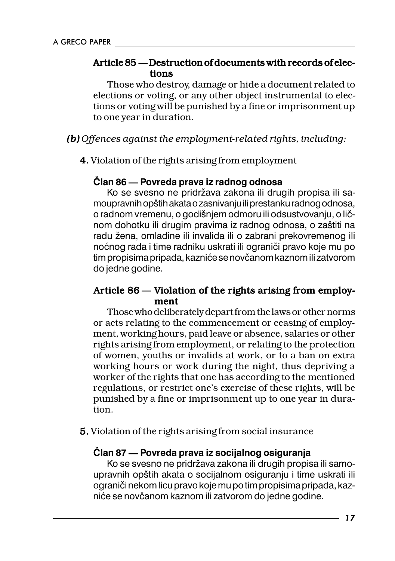#### Article 85 - Destruction of documents with records of elections

Those who destroy, damage or hide a document related to elections or voting, or any other object instrumental to elections or voting will be punished by a fine or imprisonment up to one year in duration.

*(b) Offences against the employment-related rights, including: (b)*

4. Violation of the rights arising from employment 4.

#### **^lan 86 Povreda prava iz radnog odnosa**

Ko se svesno ne pridržava zakona ili drugih propisa ili samoupravnih opštih akata o zasnivanju ili prestanku radnog odnosa, o radnom vremenu, o godišnjem odmoru ili odsustvovanju, o ličnom dohotku ili drugim pravima iz radnog odnosa, o zaštiti na radu žena, omladine ili invalida ili o zabrani prekovremenog ili noćnog rada i time radniku uskrati ili ograniči pravo koje mu po tim propisima pripada, kazniće se novčanom kaznom ili zatvorom do jedne godine.

#### Article 86 - Violation of the rights arising from employment

Those who deliberately depart from the laws or other norms or acts relating to the commencement or ceasing of employment, working hours, paid leave or absence, salaries or other rights arising from employment, or relating to the protection of women, youths or invalids at work, or to a ban on extra working hours or work during the night, thus depriving a worker of the rights that one has according to the mentioned regulations, or restrict one's exercise of these rights, will be punished by a fine or imprisonment up to one year in duration.

5. Violation of the rights arising from social insurance 5.

#### **^lan 87 Povreda prava iz socijalnog osiguranja**

Ko se svesno ne pridržava zakona ili drugih propisa ili samoupravnih opštih akata o socijalnom osiguranju i time uskrati ili ograniči nekom licu pravo koje mu po tim propisima pripada, kazniće se novčanom kaznom ili zatvorom do jedne godine.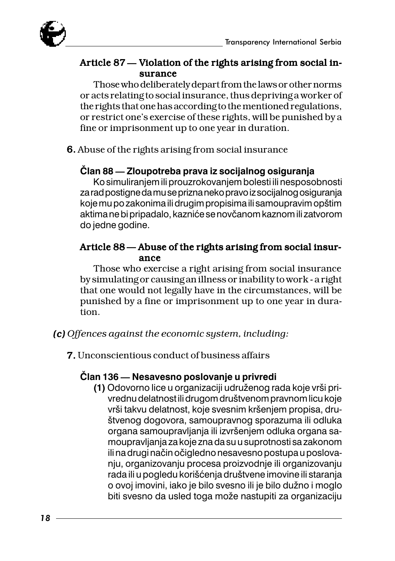

#### Article 87 – Violation of the rights arising from social insurance

Those who deliberately depart from the laws or other norms or acts relating to social insurance, thus depriving a worker of the rights that one has according to the mentioned regulations, or restrict one's exercise of these rights, will be punished by a fine or imprisonment up to one year in duration.

6. Abuse of the rights arising from social insurance

#### **^lan 88 Zloupotreba prava iz socijalnog osiguranja**

Ko simuliranjem ili prouzrokovanjem bolesti ili nesposobnosti za rad postigne da mu se prizna neko pravo iz socijalnog osiguranja koje mu po zakonima ili drugim propisima ili samoupravim opštim aktima ne bi pripadalo, kazniće se novčanom kaznom ili zatvorom do jedne godine.

#### Article 88 – Abuse of the rights arising from social insurance

Those who exercise a right arising from social insurance by simulating or causing an illness or inability to work - a right that one would not legally have in the circumstances, will be punished by a fine or imprisonment up to one year in duration.

*(c) Offences against the economic system, including: (c)*

7. Unconscientious conduct of business affairs 7.

#### **^lan 136 Nesavesno poslovanje u privredi**

**(1)** Odovorno lice u organizaciji udruženog rada koje vrši privrednu delatnost ili drugom društvenom pravnom licu koje vrši takvu delatnost, koje svesnim kršenjem propisa, društvenog dogovora, samoupravnog sporazuma ili odluka organa samoupravljanja ili izvršenjem odluka organa samoupravljanja za koje zna da su u suprotnosti sa zakonom ili na drugi način očigledno nesavesno postupa u poslovanju, organizovanju procesa proizvodnje ili organizovanju rada ili u pogledu korišćenja društvene imovine ili staranja o ovoj imovini, iako je bilo svesno ili je bilo dužno i moglo biti svesno da usled toga može nastupiti za organizaciju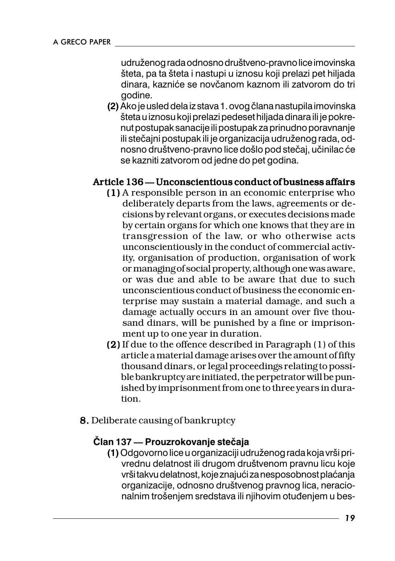udruženog rada odnosno društveno-pravno lice imovinska šteta, pa ta šteta i nastupi u iznosu koji prelazi pet hiljada dinara, kazniće se novčanom kaznom ili zatvorom do tri godine.

**(2)** Ako je usled dela iz stava 1. ovog člana nastupila imovinska šteta u iznosu koji prelazi pedeset hiljada dinara ili je pokrenut postupak sanacije ili postupak za prinudno poravnanje ili stečajni postupak ili je organizacija udruženog rada, odnosno društveno-pravno lice došlo pod stečaj, učinilac će se kazniti zatvorom od jedne do pet godina.

#### Article 136 – Unconscientious conduct of business affairs

- (1) Aresponsible person in an economic enterprise who deliberately departs from the laws, agreements or decisions by relevant organs, or executes decisions made by certain organs for which one knows that they are in transgression of the law, or who otherwise acts unconscientiously in the conduct of commercial activity, organisation of production, organisation of work or managing of social property, although one was aware, or was due and able to be aware that due to such unconscientious conduct of business the economic enterprise may sustain a material damage, and such a damage actually occurs in an amount over five thousand dinars, will be punished by a fine or imprisonment up to one year in duration.
- (2) If due to the offence described in Paragraph  $(1)$  of this article a material damage arises over the amount of fifty thousand dinars, or legal proceedings relating to possible bankruptcy are initiated, the perpetrator will be punished by imprisonment from one to three years in duration.
- 8. Deliberate causing of bankruptcy

#### $\check{\text{C}}$ lan 137 — Prouzrokovanje stečaja

**(1)** Odgovorno lice u organizaciji udru`enog rada koja vr{i privrednu delatnost ili drugom društvenom pravnu licu koje vrši takvu delatnost, koje znajući za nesposobnost plaćanja organizacije, odnosno društvenog pravnog lica, neracionalnim trošenjem sredstava ili njihovim otuđenjem u bes-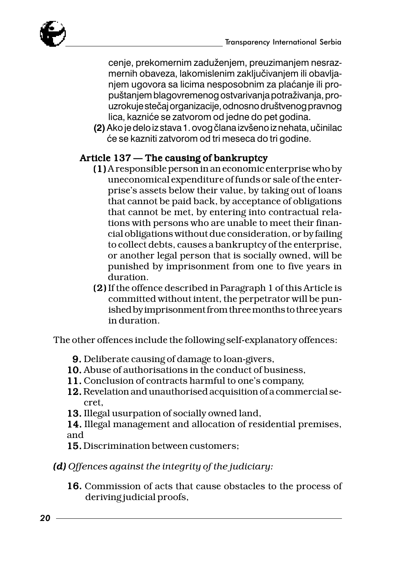

cenje, prekomernim zaduženjem, preuzimanjem nesrazmernih obaveza, lakomislenim zaključivanjem ili obavljanjem ugovora sa licima nesposobnim za plaćanje ili propu{tanjem blagovremenog ostvarivanja potra`ivanja, prouzrokuje stečaj organizacije, odnosno društvenog pravnog lica, kazniće se zatvorom od jedne do pet godina.

(2) Ako je delo iz stava 1. ovog člana izvšeno iz nehata, učinilac }e se kazniti zatvorom od tri meseca do tri godine.

#### Article  $137 -$ The causing of bankruptcy

- (1) Aresponsible person in an economic enterprise who by uneconomical expenditure of funds or sale of the enterprise's assets below their value, by taking out of loans that cannot be paid back, by acceptance of obligations that cannot be met, by entering into contractual relations with persons who are unable to meet their financial obligations without due consideration, or by failing to collect debts, causes a bankruptcy of the enterprise, or another legal person that is socially owned, will be punished by imprisonment from one to five years in duration.
- (2) If the offence described in Paragraph 1 of this Article is (2) committed without intent, the perpetrator will be punished by imprisonment from three months to three years in duration.

The other offences include the following self-explanatory offences:

- 9. Deliberate causing of damage to loan-givers,
- 10. Abuse of authorisations in the conduct of business,
- 11. Conclusion of contracts harmful to one's company,
- 12. Revelation and unauthorised acquisition of a commercial secret,
- 13. Illegal usurpation of socially owned land,
- 14. Illegal management and allocation of residential premises, and
- 15. Discrimination between customers;
- *(d) Offences against the integrity of the judiciary: (d)*
	- 16. Commission of acts that cause obstacles to the process of deriving judicial proofs,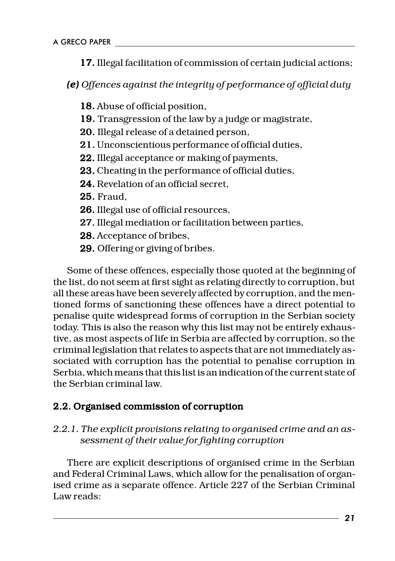17. Illegal facilitation of commission of certain judicial actions;

*(e) Offences against the integrity of performance of official duty*

- 18. Abuse of official position,
- 19. Transgression of the law by a judge or magistrate,
- 20. Illegal release of a detained person,
- 21. Unconscientious performance of official duties,
- 22. Illegal acceptance or making of payments,
- 23. Cheating in the performance of official duties,
- 24. Revelation of an official secret,
- 25. Fraud,
- 26. Illegal use of official resources,
- 27. Illegal mediation or facilitation between parties,
- 28. Acceptance of bribes,
- 29. Offering or giving of bribes.

Some of these offences, especially those quoted at the beginning of the list, do not seem at first sight as relating directly to corruption, but all these areas have been severely affected by corruption, and the mentioned forms of sanctioning these offences have a direct potential to penalise quite widespread forms of corruption in the Serbian society today. This is also the reason why this list may not be entirely exhaustive, as most aspects of life in Serbia are affected by corruption, so the criminal legislation that relates to aspects that are not immediately associated with corruption has the potential to penalise corruption in Serbia, which means that this list is an indication of the current state of the Serbian criminal law.

#### 2.2. Organised commission of corruption

#### *2.2.1. The explicit provisions relating to organised crime and an assessment of their value for fighting corruption*

There are explicit descriptions of organised crime in the Serbian and Federal Criminal Laws, which allow for the penalisation of organised crime as a separate offence. Article 227 of the Serbian Criminal Law reads: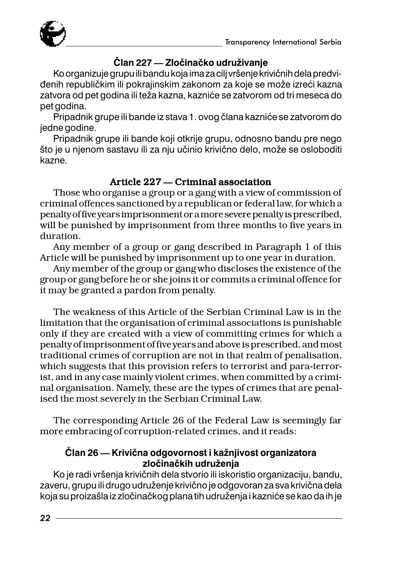

#### **^lan 227 Zlo~ina~ko udru`ivanje**

Ko organizuje grupu ili bandu koja ima za cilj vršenje krivičnih dela predvidenih republičkim ili pokrajinskim zakonom za koje se može izreći kazna zatvora od pet godina ili teža kazna, kazniće se zatvorom od tri meseca do pet godina.

Pripadnik grupe ili bande iz stava 1. ovog člana kazniće se zatvorom do jedne godine.

Pripadnik grupe ili bande koji otkrije grupu, odnosno bandu pre nego što je u njenom sastavu ili za nju učinio krivično delo, može se osloboditi kazne.

#### Article 227 – Criminal association

Those who organise a group or a gang with a view of commission of criminal offences sanctioned by a republican or federal law, for which a penalty of five years imprisonment or a more severe penalty is prescribed, will be punished by imprisonment from three months to five years in duration.

Any member of a group or gang described in Paragraph 1 of this Article will be punished by imprisonment up to one year in duration.

Any member of the group or gang who discloses the existence of the group or gang before he or she joins it or commits a criminal offence for it may be granted a pardon from penalty.

The weakness of this Article of the Serbian Criminal Law is in the limitation that the organisation of criminal associations is punishable only if they are created with a view of committing crimes for which a penalty of imprisonment of five years and above is prescribed, and most traditional crimes of corruption are not in that realm of penalisation, which suggests that this provision refers to terrorist and para-terrorist, and in any case mainly violent crimes, when committed by a criminal organisation. Namely, these are the types of crimes that are penalised the most severely in the Serbian Criminal Law.

The corresponding Article 26 of the Federal Law is seemingly far more embracing of corruption-related crimes, and it reads:

#### Član 26 - Krivična odgovornost i kažnjivost organizatora zločinačkih udruženja

Ko je radi vršenja krivičnih dela stvorio ili iskoristio organizaciju, bandu, zaveru, grupu ili drugo udruženje krivično je odgovoran za sva krivična dela koja su proizašla iz zločinačkog plana tih udruženja i kazniće se kao da ih je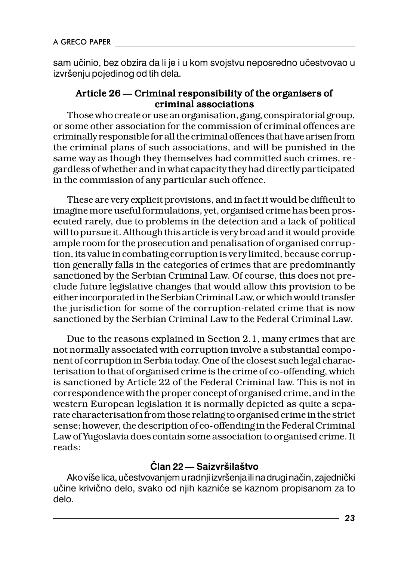sam učinio, bez obzira da li je i u kom svojstvu neposredno učestvovao u izvršenju pojedinog od tih dela.

#### Article  $26 -$ Criminal responsibility of the organisers of criminal associations

Those who create or use an organisation, gang, conspiratorial group, or some other association for the commission of criminal offences are criminally responsible for all the criminal offences that have arisen from the criminal plans of such associations, and will be punished in the same way as though they themselves had committed such crimes, regardless of whether and in what capacity they had directly participated in the commission of any particular such offence.

These are very explicit provisions, and in fact it would be difficult to imagine more useful formulations, yet, organised crime has been prosecuted rarely, due to problems in the detection and a lack of political will to pursue it. Although this article is very broad and it would provide ample room for the prosecution and penalisation of organised corruption, its value in combating corruption is very limited, because corruption generally falls in the categories of crimes that are predominantly sanctioned by the Serbian Criminal Law. Of course, this does not preclude future legislative changes that would allow this provision to be either incorporated in the Serbian Criminal Law, or which would transfer the jurisdiction for some of the corruption-related crime that is now sanctioned by the Serbian Criminal Law to the Federal Criminal Law.

Due to the reasons explained in Section 2.1, many crimes that are not normally associated with corruption involve a substantial component of corruption in Serbia today. One of the closest such legal characterisation to that of organised crime is the crime of co-offending, which is sanctioned by Article 22 of the Federal Criminal law. This is not in correspondence with the proper concept of organised crime, and in the western European legislation it is normally depicted as quite a separate characterisation from those relating to organised crime in the strict sense; however, the description of co-offending in the Federal Criminal Law of Yugoslavia does contain some association to organised crime. It reads:

#### **^lan 22 Saizvr{ila{tvo**

Ako više lica, učestvovanjem u radnji izvršenja ili na drugi način, zajednički učine krivično delo, svako od njih kazniće se kaznom propisanom za to delo.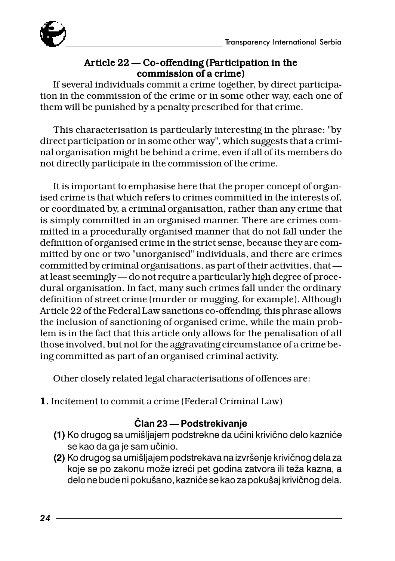

#### Article  $22 -$ Co-offending (Participation in the commission of a crime)

If several individuals commit a crime together, by direct participation in the commission of the crime or in some other way, each one of them will be punished by a penalty prescribed for that crime.

This characterisation is particularly interesting in the phrase: "by direct participation or in some other way", which suggests that a criminal organisation might be behind a crime, even if all of its members do not directly participate in the commission of the crime.

It is important to emphasise here that the proper concept of organised crime is that which refers to crimes committed in the interests of, or coordinated by, a criminal organisation, rather than any crime that is simply committed in an organised manner. There are crimes committed in a procedurally organised manner that do not fall under the definition of organised crime in the strict sense, because they are committed by one or two "unorganised" individuals, and there are crimes committed by criminal organisations, as part of their activities, that at least seemingly — do not require a particularly high degree of procedural organisation. In fact, many such crimes fall under the ordinary definition of street crime (murder or mugging, for example). Although Article 22 of the Federal Law sanctions co-offending, this phrase allows the inclusion of sanctioning of organised crime, while the main problem is in the fact that this article only allows for the penalisation of all those involved, but not for the aggravating circumstance of a crime being committed as part of an organised criminal activity.

Other closely related legal characterisations of offences are:

1. Incitement to commit a crime (Federal Criminal Law) 1.

#### **^lan 23 Podstrekivanje**

- **(1)** Ko drugog sa umišljajem podstrekne da učini krivično delo kazniće se kao da ga je sam učinio.
- (2) Ko drugog sa umišljajem podstrekava na izvršenje krivičnog dela za koje se po zakonu može izreći pet godina zatvora ili teža kazna, a delo ne bude ni pokušano, kazniće se kao za pokušaj krivičnog dela.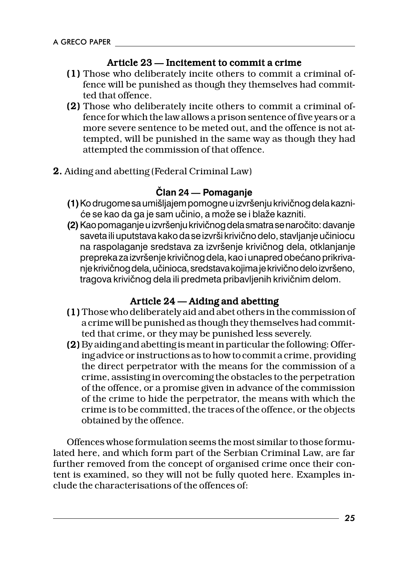#### Article 23 – Incitement to commit a crime

- (1) Those who deliberately incite others to commit a criminal of- (1) fence will be punished as though they themselves had committed that offence.
- (2) Those who deliberately incite others to commit a criminal of- (2) fence for which the law allows a prison sentence of five years or a more severe sentence to be meted out, and the offence is not attempted, will be punished in the same way as though they had attempted the commission of that offence.
- 2. Aiding and abetting (Federal Criminal Law) 2.

#### **^lan 24 Pomaganje**

- (1) Ko drugome sa umišljajem pomogne u izvršenju krivičnog dela kazniće se kao da ga je sam učinio, a može se i blaže kazniti.
- **(2)** Kao pomaganje u izvršenju krivičnog dela smatra se naročito: davanje saveta ili uputstava kako da se izvrši krivično delo, stavljanje učiniocu na raspolaganje sredstava za izvršenje krivičnog dela, otklanjanje prepreka za izvršenje krivičnog dela, kao i unapred obećano prikrivanje krivičnog dela, učinioca, sredstava kojima je krivično delo izvršeno, tragova krivičnog dela ili predmeta pribavljenih krivičnim delom.

#### Article 24 - Aiding and abetting

- (1) Those who deliberately aid and abet others in the commission of a crime will be punished as though they themselves had committed that crime, or they may be punished less severely.
- (2) Byaiding and abetting is meant in particular the following: Offering advice or instructions as to how to commit a crime, providing the direct perpetrator with the means for the commission of a crime, assisting in overcoming the obstacles to the perpetration of the offence, or a promise given in advance of the commission of the crime to hide the perpetrator, the means with which the crime is to be committed, the traces of the offence, or the objects obtained by the offence.

Offences whose formulation seems the most similar to those formulated here, and which form part of the Serbian Criminal Law, are far further removed from the concept of organised crime once their content is examined, so they will not be fully quoted here. Examples include the characterisations of the offences of: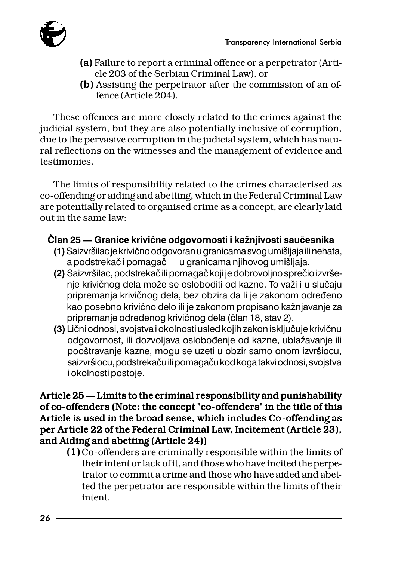

- (a) Failure to report a criminal offence or a perpetrator (Article 203 of the Serbian Criminal Law), or
- (b) Assisting the perpetrator after the commission of an offence (Article 204).

These offences are more closely related to the crimes against the judicial system, but they are also potentially inclusive of corruption, due to the pervasive corruption in the judicial system, which has natural reflections on the witnesses and the management of evidence and testimonies.

The limits of responsibility related to the crimes characterised as co-offending or aiding and abetting, which in the Federal Criminal Law are potentially related to organised crime as a concept, are clearly laid out in the same law:

#### Član 25 — Granice krivične odgovornosti i kažnjivosti saučesnika

- (1) Saizvršilac je krivično odgovoran u granicama svog umišliaja ili nehata, a podstrekač i pomagač — u granicama njihovog umišljaja.
- (2) Saizvršilac, podstrekač ili pomagač koji je dobrovoljno sprečio izvršenje krivičnog dela može se osloboditi od kazne. To važi i u slučaju pripremanja krivičnog dela, bez obzira da li je zakonom određeno .<br>kao posebno krivično delo ili je zakonom propisano kažnjavanje za pripremanje određenog krivičnog dela (član 18, stav 2).
- **(3)** Lični odnosi, svojstva i okolnosti usled kojih zakon isključuje krivičnu odgovornost, ili dozvoljava oslobođenje od kazne, ublažavanje ili pooštravanje kazne, mogu se uzeti u obzir samo onom izvršiocu, saizvršiocu, podstrekaču ili pomagaču kod koga takvi odnosi, svojstva i okolnosti postoje.

#### Article  $25$  - Limits to the criminal responsibility and punishability of co-offenders (Note: the concept "co- offenders" in the title of this Article is used in the broad sense, which includes Co-offending as per Article 22 of the Federal Criminal Law, Incitement (Article 23), and Aiding and abetting (Article 24))

 $(1)$  Co-offenders are criminally responsible within the limits of their intent or lack of it, and those who have incited the perpetrator to commit a crime and those who have aided and abetted the perpetrator are responsible within the limits of their intent.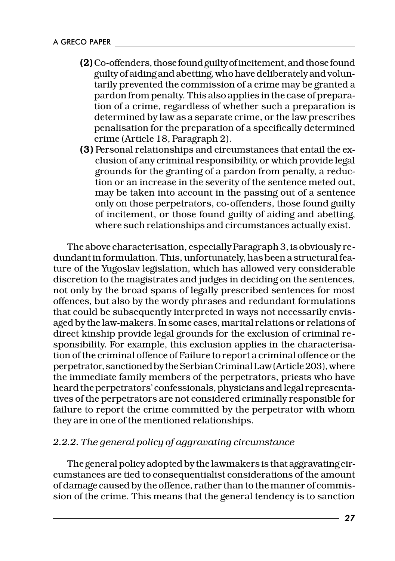- (2) Co- offenders, those found guilty of incitement, and those found guilty of aiding and abetting, who have deliberately and voluntarily prevented the commission of a crime may be granted a pardon from penalty. This also applies in the case of preparation of a crime, regardless of whether such a preparation is determined by law as a separate crime, or the law prescribes penalisation for the preparation of a specifically determined crime (Article 18, Paragraph 2).
- (3) Personal relationships and circumstances that entail the ex- (3) clusion of any criminal responsibility, or which provide legal grounds for the granting of a pardon from penalty, a reduction or an increase in the severity of the sentence meted out, may be taken into account in the passing out of a sentence only on those perpetrators, co-offenders, those found guilty of incitement, or those found guilty of aiding and abetting, where such relationships and circumstances actually exist.

The above characterisation, especially Paragraph 3, is obviously redundant in formulation. This, unfortunately, has been a structural feature of the Yugoslav legislation, which has allowed very considerable discretion to the magistrates and judges in deciding on the sentences, not only by the broad spans of legally prescribed sentences for most offences, but also by the wordy phrases and redundant formulations that could be subsequently interpreted in ways not necessarily envisaged by the law-makers. In some cases, marital relations or relations of direct kinship provide legal grounds for the exclusion of criminal responsibility. For example, this exclusion applies in the characterisation of the criminal offence of Failure to report a criminal offence or the perpetrator, sanctioned by the Serbian Criminal Law (Article 203), where the immediate family members of the perpetrators, priests who have heard the perpetrators' confessionals, physicians and legal representatives of the perpetrators are not considered criminally responsible for failure to report the crime committed by the perpetrator with whom they are in one of the mentioned relationships.

#### *2.2.2. The general policy of aggravating circumstance*

The general policy adopted by the lawmakers is that aggravating circumstances are tied to consequentialist considerations of the amount of damage caused by the offence, rather than to the manner of commission of the crime. This means that the general tendency is to sanction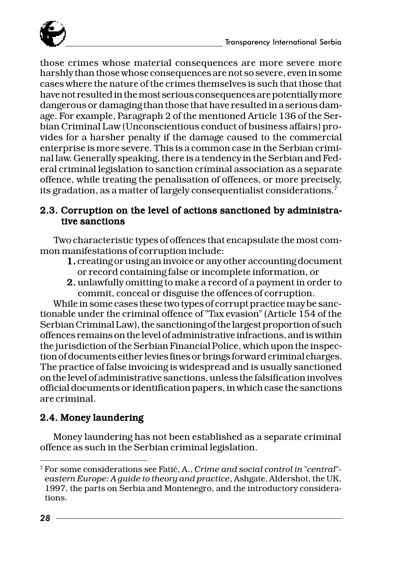

those crimes whose material consequences are more severe more harshly than those whose consequences are not so severe, even in some cases where the nature of the crimes themselves is such that those that have not resulted in the most serious consequences are potentially more dangerous or damaging than those that have resulted in a serious damage. For example, Paragraph 2 of the mentioned Article 136 of the Serbian Criminal Law (Unconscientious conduct of business affairs) provides for a harsher penalty if the damage caused to the commercial enterprise is more severe. This is a common case in the Serbian criminal law. Generally speaking, there is a tendency in the Serbian and Federal criminal legislation to sanction criminal association as a separate offence, while treating the penalisation of offences, or more precisely, its gradation, as a matter of largely consequentialist considerations. $^{\prime}$ 

#### 2.3. Corruption on the level of actions sanctioned by administrative sanctions

Two characteristic types of offences that encapsulate the most common manifestations of corruption include:

- 1. creating or using an invoice or any other accounting document or record containing false or incomplete information, or
- 2. unlawfully omitting to make a record of a payment in order to commit, conceal or disguise the offences of corruption.

While in some cases these two types of corrupt practice may be sanctionable under the criminal offence of "Tax evasion" (Article 154 of the Serbian Criminal Law), the sanctioning of the largest proportion of such offences remains on the level of administrative infractions, and is within the jurisdiction of the Serbian Financial Police, which upon the inspection of documents either levies fines or brings forward criminal charges. The practice of false invoicing is widespread and is usually sanctioned on the level of administrative sanctions, unless the falsification involves official documents or identification papers, in which case the sanctions are criminal.

#### 2.4. Money laundering

Money laundering has not been established as a separate criminal offence as such in the Serbian criminal legislation.

<sup>7</sup> For some considerations see Fati}, A., *Crime and social control in "central" eastern Europe: A guide to theory and practice*, Ashgate, Aldershot, the UK, 1997, the parts on Serbia and Montenegro, and the introductory considerations.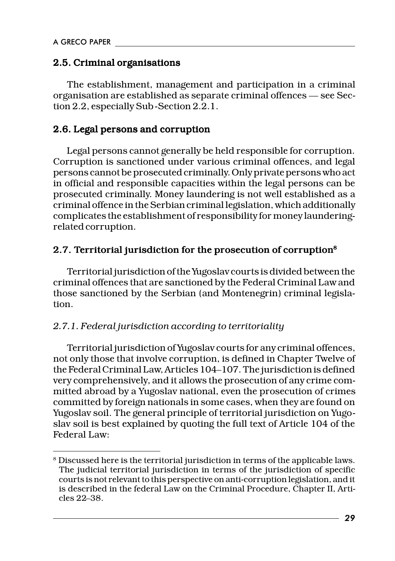#### 2.5. Criminal organisations

The establishment, management and participation in a criminal organisation are established as separate criminal offences — see Section 2.2, especially Sub-Section 2.2.1.

#### 2.6. Legal persons and corruption

Legal persons cannot generally be held responsible for corruption. Corruption is sanctioned under various criminal offences, and legal persons cannot be prosecuted criminally. Only private persons who act in official and responsible capacities within the legal persons can be prosecuted criminally. Money laundering is not well established as a criminal offence in the Serbian criminal legislation, which additionally complicates the establishment of responsibility for money launderingrelated corruption.

#### 2.7. Territorial jurisdiction for the prosecution of corruption8

Territorial jurisdiction of the Yugoslav courts is divided between the criminal offences that are sanctioned by the Federal Criminal Law and those sanctioned by the Serbian (and Montenegrin) criminal legislation.

#### *2.7.1. Federal jurisdiction according to territoriality*

Territorial jurisdiction of Yugoslav courts for any criminal offences, not only those that involve corruption, is defined in Chapter Twelve of the Federal Criminal Law, Articles 104107. The jurisdiction is defined very comprehensively, and it allows the prosecution of any crime committed abroad by a Yugoslav national, even the prosecution of crimes committed by foreign nationals in some cases, when they are found on Yugoslav soil. The general principle of territorial jurisdiction on Yugoslav soil is best explained by quoting the full text of Article 104 of the Federal Law:

 $^{\rm 8}$  Discussed here is the territorial jurisdiction in terms of the applicable laws. The judicial territorial jurisdiction in terms of the jurisdiction of specific courts is not relevant to this perspective on anti-corruption legislation, and it is described in the federal Law on the Criminal Procedure, Chapter II, Arti $c$ les  $22-38$ .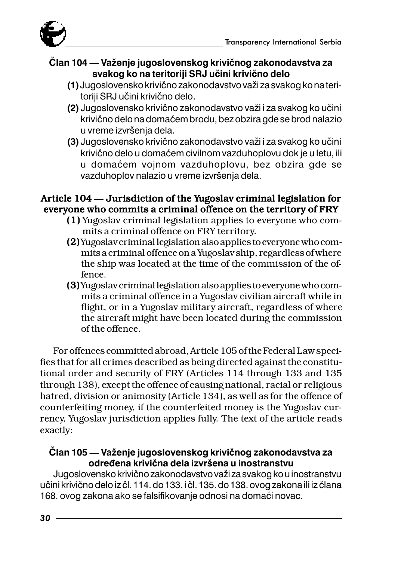

#### **^lan 104 Va`enje jugoslovenskog krivi~nog zakonodavstva za** svakog ko na teritoriji SRJ učini krivično delo

- **(1)** Jugoslovensko krivi~no zakonodavstvo va`i za svakog ko na teritoriji SRJ učini krivično delo.
- **(2)** Jugoslovensko krivično zakonodavstvo važi i za svakog ko učini krivično delo na domaćem brodu, bez obzira gde se brod nalazio u vreme izvršenia dela.
- (3) Jugoslovensko krivično zakonodavstvo važi i za svakog ko učini krivično delo u domaćem civilnom vazduhoplovu dok je u letu, ili u domaćem vojnom vazduhoplovu, bez obzira gde se vazduhoplov nalazio u vreme izvršenja dela.

#### Article 104 — Jurisdiction of the Yugoslav criminal legislation for everyone who commits a criminal offence on the territory of FRY

- (1) Yugoslav criminal legislation applies to everyone who com- (1) mits a criminal offence on FRY territory.
- (2) Yugoslav criminal legislation also applies to everyone who com- (2) mits a criminal offence on a Yugoslav ship, regardless of where the ship was located at the time of the commission of the offence.
- (3) Yugoslav criminal legislation also applies to everyone who com- (3) mits a criminal offence in a Yugoslav civilian aircraft while in flight, or in a Yugoslav military aircraft, regardless of where the aircraft might have been located during the commission of the offence.

For offences committed abroad, Article 105 of the Federal Law specifies that for all crimes described as being directed against the constitutional order and security of FRY (Articles 114 through 133 and 135 through 138), except the offence of causing national, racial or religious hatred, division or animosity (Article 134), as well as for the offence of counterfeiting money, if the counterfeited money is the Yugoslav currency, Yugoslav jurisdiction applies fully. The text of the article reads exactly:

#### **^lan 105 Va`enje jugoslovenskog krivi~nog zakonodavstva za** određena krivična dela izvršena u inostranstvu

Jugoslovensko krivično zakonodavstvo važi za svakog ko u inostranstvu učini krivično delo iz čl. 114. do 133. i čl. 135. do 138. ovog zakona ili iz člana 168. ovog zakona ako se falsifikovanje odnosi na domaći novac.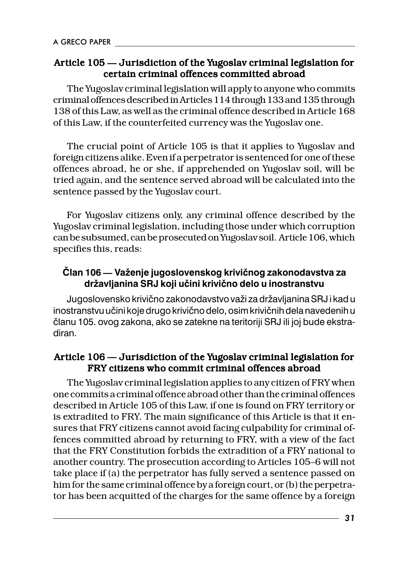#### Article 105 — Jurisdiction of the Yugoslav criminal legislation for certain criminal offences committed abroad

The Yugoslav criminal legislation will apply to anyone who commits criminal offences described in Articles 114 through 133 and 135 through 138 of this Law, as well as the criminal offence described in Article 168 of this Law, if the counterfeited currency was the Yugoslav one.

The crucial point of Article 105 is that it applies to Yugoslav and foreign citizens alike. Even if a perpetrator is sentenced for one of these offences abroad, he or she, if apprehended on Yugoslav soil, will be tried again, and the sentence served abroad will be calculated into the sentence passed by the Yugoslav court.

For Yugoslav citizens only, any criminal offence described by the Yugoslav criminal legislation, including those under which corruption can be subsumed, can be prosecuted on Yugoslav soil. Article 106, which specifies this, reads:

#### **^lan 106 Va`enje jugoslovenskog krivi~nog zakonodavstva za** državljanina SRJ koji učini krivično delo u inostranstvu

Jugoslovensko krivično zakonodavstvo važi za državljanina SRJ i kad u inostranstvu učini koje drugo krivično delo, osim krivičnih dela navedenih u ~lanu 105. ovog zakona, ako se zatekne na teritoriji SRJ ili joj bude ekstradiran.

#### Article 106 - Jurisdiction of the Yugoslav criminal legislation for FRY citizens who commit criminal offences abroad

The Yugoslav criminal legislation applies to any citizen of FRY when one commits a criminal offence abroad other than the criminal offences described in Article 105 of this Law, if one is found on FRY territory or is extradited to FRY. The main significance of this Article is that it ensures that FRY citizens cannot avoid facing culpability for criminal offences committed abroad by returning to FRY, with a view of the fact that the FRY Constitution forbids the extradition of a FRY national to another country. The prosecution according to Articles 105-6 will not take place if (a) the perpetrator has fully served a sentence passed on him for the same criminal offence by a foreign court, or (b) the perpetrator has been acquitted of the charges for the same offence by a foreign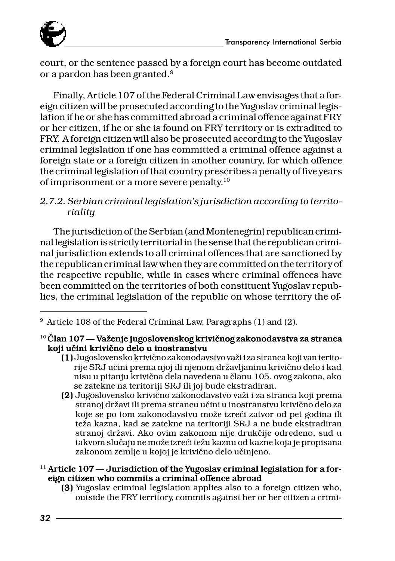

court, or the sentence passed by a foreign court has become outdated or a pardon has been granted.9

Finally, Article 107 of the Federal Criminal Law envisages that a foreign citizen will be prosecuted according to the Yugoslav criminal legislation if he or she has committed abroad a criminal offence against FRY or her citizen, if he or she is found on FRY territory or is extradited to FRY. A foreign citizen will also be prosecuted according to the Yugoslav criminal legislation if one has committed a criminal offence against a foreign state or a foreign citizen in another country, for which offence the criminal legislation of that country prescribes a penalty of five years of imprisonment or a more severe penalty.10

#### *2.7.2. Serbian criminal legislation's jurisdiction according to territoriality*

The jurisdiction of the Serbian (and Montenegrin) republican criminal legislation is strictly territorial in the sense that the republican criminal jurisdiction extends to all criminal offences that are sanctioned by the republican criminal law when they are committed on the territory of the respective republic, while in cases where criminal offences have been committed on the territories of both constituent Yugoslav republics, the criminal legislation of the republic on whose territory the of-

(2) Jugoslovensko krivično zakonodavstvo važi i za stranca koji prema stranoj državi ili prema strancu učini u inostranstvu krivično delo za koje se po tom zakonodavstvu može izreći zatvor od pet godina ili teža kazna, kad se zatekne na teritoriji SRJ a ne bude ekstradiran stranoj državi. Ako ovim zakonom nije drukčije određeno, sud u takvom slučaju ne može izreći težu kaznu od kazne koja je propisana zakonom zemlje u kojoj je krivično delo učinjeno.

#### <sup>11</sup> Article 107 — Jurisdiction of the Yugoslav criminal legislation for a foreign citizen who commits a criminal offence abroad

(3) Yugoslav criminal legislation applies also to a foreign citizen who, (3) outside the FRY territory, commits against her or her citizen a crimi-

<sup>9</sup> Article 108 of the Federal Criminal Law, Paragraphs (1) and (2).

 $^{10}$ Član  $107$  — Važenje jugoslovenskog krivičnog zakonodavstva za stranca koji učini krivično delo u inostranstvu

<sup>(1)</sup> Jugoslovensko krivično zakonodavstvo važi i za stranca koji van teritorije SRJ učini prema njoj ili njenom državljaninu krivično delo i kad nisu u pitanju krivična dela navedena u članu 105. ovog zakona, ako se zatekne na teritoriji SRJ ili joj bude ekstradiran.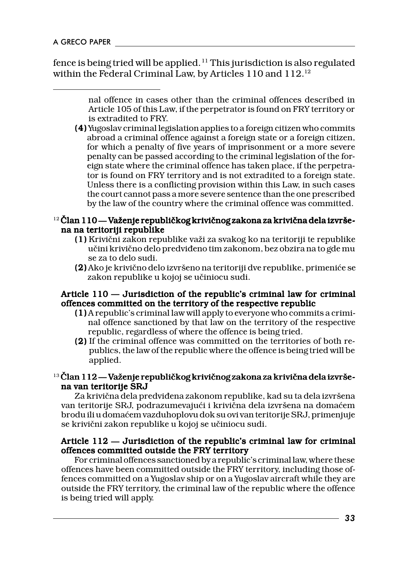fence is being tried will be applied.<sup>11</sup> This jurisdiction is also regulated within the Federal Criminal Law, by Articles 110 and 112.12

(4) Yugoslav criminal legislation applies to a foreign citizen who commits (4) abroad a criminal offence against a foreign state or a foreign citizen, for which a penalty of five years of imprisonment or a more severe penalty can be passed according to the criminal legislation of the foreign state where the criminal offence has taken place, if the perpetrator is found on FRY territory and is not extradited to a foreign state. Unless there is a conflicting provision within this Law, in such cases the court cannot pass a more severe sentence than the one prescribed by the law of the country where the criminal offence was committed.

#### $12$  Član 110 — Važenje republičkog krivičnog zakona za krivična dela izvršena na teritoriji republike

- (1) Krivični zakon republike važi za svakog ko na teritoriji te republike učini krivično delo predviđeno tim zakonom, bez obzira na to gde mu se za to delo sudi.
- (2) Ako je krivično delo izvršeno na teritoriji dve republike, primeniće se zakon republike u kojoj se učiniocu sudi.

#### Article  $110$   $-$  Jurisdiction of the republic's criminal law for criminal offences committed on the territory of the respective republic

- (1) A republic's criminal law will apply to everyone who commits a crimi- (1) nal offence sanctioned by that law on the territory of the respective republic, regardless of where the offence is being tried.
- (2) If the criminal offence was committed on the territories of both re- (2) publics, the law of the republic where the offence is being tried will be applied.

#### $13$  Član 112 — Važenje republičkog krivičnog zakona za krivična dela izvršena van teritorije SRJ

Za krivična dela predviđena zakonom republike, kad su ta dela izvršena van teritorije SRJ, podrazumevajući i krivična dela izvršena na domaćem brodu ili u doma}em vazduhoplovu dok su ovi van teritorije SRJ, primenjuje se krivični zakon republike u kojoj se učiniocu sudi.

#### Article  $112$   $-$  Jurisdiction of the republic's criminal law for criminal offences committed outside the FRY territory

For criminal offences sanctioned by a republic's criminal law, where these offences have been committed outside the FRY territory, including those offences committed on a Yugoslav ship or on a Yugoslav aircraft while they are outside the FRY territory, the criminal law of the republic where the offence is being tried will apply.

nal offence in cases other than the criminal offences described in Article 105 of this Law, if the perpetrator is found on FRY territory or is extradited to FRY.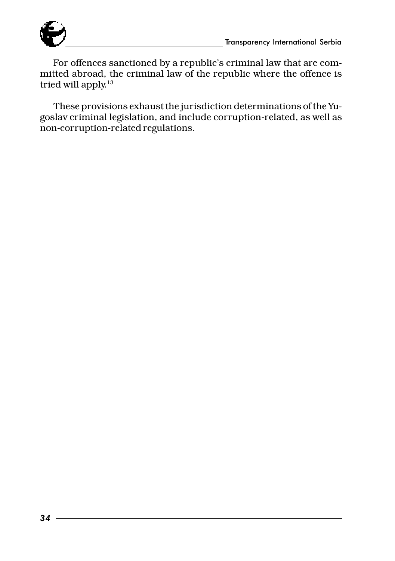

For offences sanctioned by a republic's criminal law that are committed abroad, the criminal law of the republic where the offence is tried will apply.<sup>13</sup>

These provisions exhaust the jurisdiction determinations of the Yugoslav criminal legislation, and include corruption-related, as well as non-corruption-related regulations.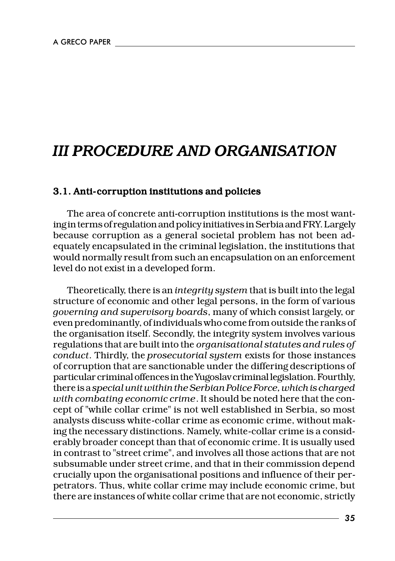## *III PROCEDURE AND ORGANISATION*

#### 3.1. Anti-corruption institutions and policies

The area of concrete anti-corruption institutions is the most wanting in terms of regulation and policy initiatives in Serbia and FRY. Largely because corruption as a general societal problem has not been adequately encapsulated in the criminal legislation, the institutions that would normally result from such an encapsulation on an enforcement level do not exist in a developed form.

Theoretically, there is an *integrity system* that is built into the legal structure of economic and other legal persons, in the form of various *governing and supervisory boards*, many of which consist largely, or even predominantly, of individuals who come from outside the ranks of the organisation itself. Secondly, the integrity system involves various regulations that are built into the *organisational statutes and rules of conduct*. Thirdly, the *prosecutorial system* exists for those instances of corruption that are sanctionable under the differing descriptions of particular criminal offences in the Yugoslav criminal legislation. Fourthly, there is a *special unit within the Serbian Police Force, which is charged with combating economic crime*. It should be noted here that the concept of "while collar crime" is not well established in Serbia, so most analysts discuss white-collar crime as economic crime, without making the necessary distinctions. Namely, white-collar crime is a considerably broader concept than that of economic crime. It is usually used in contrast to "street crime", and involves all those actions that are not subsumable under street crime, and that in their commission depend crucially upon the organisational positions and influence of their perpetrators. Thus, white collar crime may include economic crime, but there are instances of white collar crime that are not economic, strictly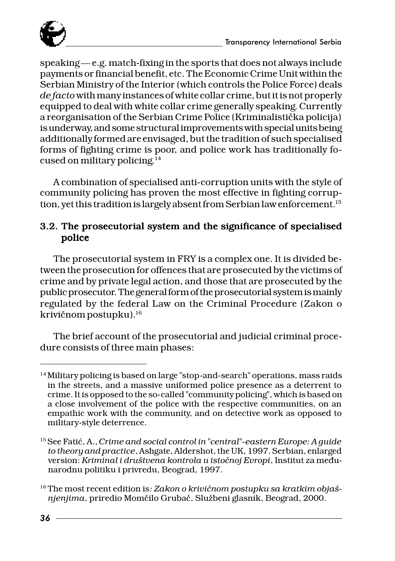

 $speaking - e.g.$  match-fixing in the sports that does not always include payments or financial benefit, etc. The Economic Crime Unit within the Serbian Ministry of the Interior (which controls the Police Force) deals *de facto* with many instances of white collar crime, but it is not properly equipped to deal with white collar crime generally speaking. Currently a reorganisation of the Serbian Crime Police (Kriminalistička policija) is underway, and some structural improvements with special units being additionally formed are envisaged, but the tradition of such specialised forms of fighting crime is poor, and police work has traditionally focused on military policing.14

A combination of specialised anti-corruption units with the style of community policing has proven the most effective in fighting corruption, yet this tradition is largely absent from Serbian law enforcement.<sup>15</sup>

#### 3.2. The prosecutorial system and the significance of specialised police

The prosecutorial system in FRY is a complex one. It is divided between the prosecution for offences that are prosecuted by the victims of crime and by private legal action, and those that are prosecuted by the public prosecutor. The general form of the prosecutorial system is mainly regulated by the federal Law on the Criminal Procedure (Zakon o krivičnom postupku).<sup>16</sup>

The brief account of the prosecutorial and judicial criminal procedure consists of three main phases:

<sup>&</sup>lt;sup>14</sup> Military policing is based on large "stop-and-search" operations, mass raids in the streets, and a massive uniformed police presence as a deterrent to crime. It is opposed to the so-called "community policing", which is based on a close involvement of the police with the respective communities, on an empathic work with the community, and on detective work as opposed to military-style deterrence.

<sup>&</sup>lt;sup>15</sup> See Fatić, A., *Crime and social control in "central"-eastern Europe: A guide to theory and practice*, Ashgate, Aldershot, the UK, 1997. Serbian, enlarged version: *Kriminal i društvena kontrola u istočnoj Evropi*, Institut za međunarodnu politiku i privredu, Beograd, 1997.

<sup>&</sup>lt;sup>16</sup> The most recent edition is: Zakon o krivičnom postupku sa kratkim objaš*njenjima*, priredio Mom~ilo Gruba~, Slu`beni glasnik, Beograd, 2000.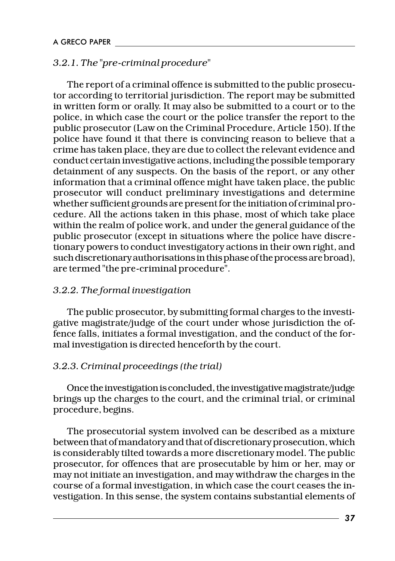#### *3.2.1. The "pre-criminal procedure"*

The report of a criminal offence is submitted to the public prosecutor according to territorial jurisdiction. The report may be submitted in written form or orally. It may also be submitted to a court or to the police, in which case the court or the police transfer the report to the public prosecutor (Law on the Criminal Procedure, Article 150). If the police have found it that there is convincing reason to believe that a crime has taken place, they are due to collect the relevant evidence and conduct certain investigative actions, including the possible temporary detainment of any suspects. On the basis of the report, or any other information that a criminal offence might have taken place, the public prosecutor will conduct preliminary investigations and determine whether sufficient grounds are present for the initiation of criminal procedure. All the actions taken in this phase, most of which take place within the realm of police work, and under the general guidance of the public prosecutor (except in situations where the police have discretionary powers to conduct investigatory actions in their own right, and such discretionary authorisations in this phase of the process are broad), are termed "the pre-criminal procedure".

#### *3.2.2. The formal investigation*

The public prosecutor, by submitting formal charges to the investigative magistrate/judge of the court under whose jurisdiction the offence falls, initiates a formal investigation, and the conduct of the formal investigation is directed henceforth by the court.

#### *3.2.3. Criminal proceedings (the trial)*

Once the investigation is concluded, the investigative magistrate/judge brings up the charges to the court, and the criminal trial, or criminal procedure, begins.

The prosecutorial system involved can be described as a mixture between that of mandatory and that of discretionary prosecution, which is considerably tilted towards a more discretionary model. The public prosecutor, for offences that are prosecutable by him or her, may or may not initiate an investigation, and may withdraw the charges in the course of a formal investigation, in which case the court ceases the investigation. In this sense, the system contains substantial elements of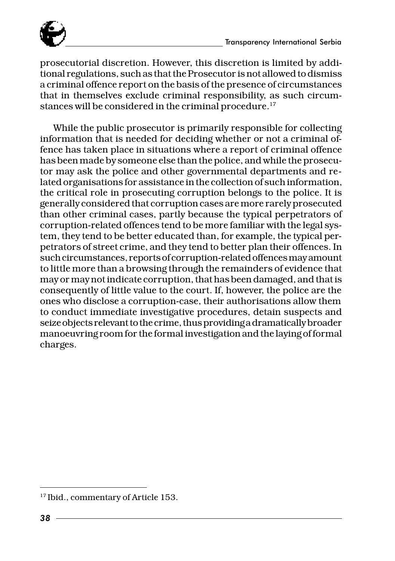

prosecutorial discretion. However, this discretion is limited by additional regulations, such as that the Prosecutor is not allowed to dismiss a criminal offence report on the basis of the presence of circumstances that in themselves exclude criminal responsibility, as such circumstances will be considered in the criminal procedure.<sup>17</sup>

While the public prosecutor is primarily responsible for collecting information that is needed for deciding whether or not a criminal offence has taken place in situations where a report of criminal offence has been made by someone else than the police, and while the prosecutor may ask the police and other governmental departments and related organisations for assistance in the collection of such information, the critical role in prosecuting corruption belongs to the police. It is generally considered that corruption cases are more rarely prosecuted than other criminal cases, partly because the typical perpetrators of corruption-related offences tend to be more familiar with the legal system, they tend to be better educated than, for example, the typical perpetrators of street crime, and they tend to better plan their offences. In such circumstances, reports of corruption-related offences may amount to little more than a browsing through the remainders of evidence that may or may not indicate corruption, that has been damaged, and that is consequently of little value to the court. If, however, the police are the ones who disclose a corruption-case, their authorisations allow them to conduct immediate investigative procedures, detain suspects and seize objects relevant to the crime, thus providing a dramatically broader manoeuvring room for the formal investigation and the laying of formal charges.

<sup>&</sup>lt;sup>17</sup> Ibid., commentary of Article 153.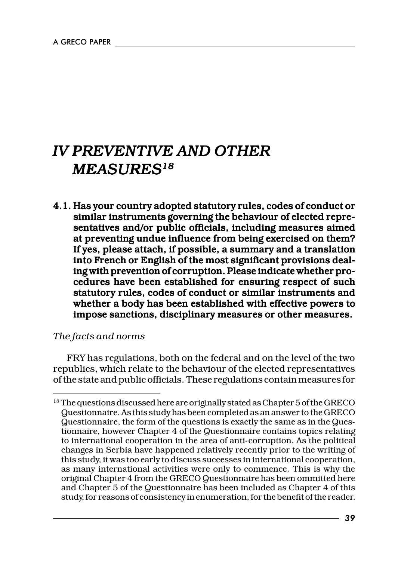# *IV PREVENTIVE AND OTHER MEASURES18*

4.1. Has your country adopted statutory rules, codes of conduct or similar instruments governing the behaviour of elected representatives and/or public officials, including measures aimed at preventing undue influence from being exercised on them? If yes, please attach, if possible, a summary and a translation into French or English of the most significant provisions dealing with prevention of corruption. Please indicate whether procedures have been established for ensuring respect of such statutory rules, codes of conduct or similar instruments and whether a body has been established with effective powers to impose sanctions, disciplinary measures or other measures.

#### *The facts and norms*

FRY has regulations, both on the federal and on the level of the two republics, which relate to the behaviour of the elected representatives of the state and public officials. These regulations contain measures for

<sup>&</sup>lt;sup>18</sup> The questions discussed here are originally stated as Chapter 5 of the GRECO Questionnaire. As this study has been completed as an answer to the GRECO Questionnaire, the form of the questions is exactly the same as in the Questionnaire, however Chapter 4 of the Questionnaire contains topics relating to international cooperation in the area of anti-corruption. As the political changes in Serbia have happened relatively recently prior to the writing of this study, it was too early to discuss successes in international cooperation, as many international activities were only to commence. This is why the original Chapter 4 from the GRECO Questionnaire has been ommitted here and Chapter 5 of the Questionnaire has been included as Chapter 4 of this study, for reasons of consistency in enumeration, for the benefit of the reader.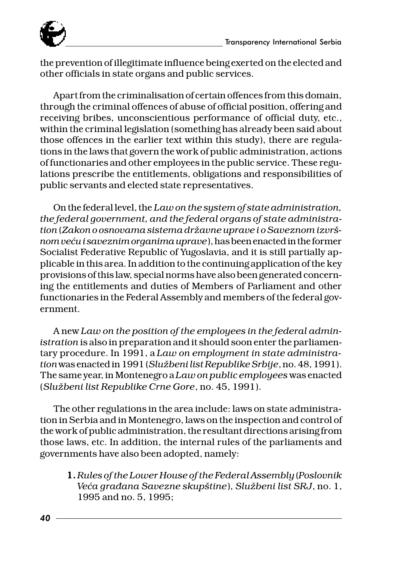the prevention of illegitimate influence being exerted on the elected and other officials in state organs and public services.

Apart from the criminalisation of certain offences from this domain, through the criminal offences of abuse of official position, offering and receiving bribes, unconscientious performance of official duty, etc., within the criminal legislation (something has already been said about those offences in the earlier text within this study), there are regulations in the laws that govern the work of public administration, actions of functionaries and other employees in the public service. These regulations prescribe the entitlements, obligations and responsibilities of public servants and elected state representatives.

On the federal level, the *Law on the system of state administration, the federal government, and the federal organs of state administration* (*Zakon o osnovama sistema dr`avne uprave i o Saveznom izvr{ nom ve}u i saveznim organima uprave*), has been enacted in the former Socialist Federative Republic of Yugoslavia, and it is still partially applicable in this area. In addition to the continuing application of the key provisions of this law, special norms have also been generated concerning the entitlements and duties of Members of Parliament and other functionaries in the Federal Assembly and members of the federal government.

A new *Law on the position of the employees in the federal administration* is also in preparation and it should soon enter the parliamentary procedure. In 1991, a *Law on employment in state administration* was enacted in 1991 (*Slu`beni list Republike Srbije*, no. 48, 1991). The same year, in Montenegro a *Law on public employees* was enacted (*Slu`beni list Republike Crne Gore*, no. 45, 1991).

The other regulations in the area include: laws on state administration in Serbia and in Montenegro, laws on the inspection and control of the work of public administration, the resultant directions arising from those laws, etc. In addition, the internal rules of the parliaments and governments have also been adopted, namely:

1. *Rules of the Lower House of the Federal Assembly* (*Poslovnik Ve}a gra|ana Savezne skup{tine*), *Slu`beni list SRJ*, no. 1, 1995 and no. 5, 1995;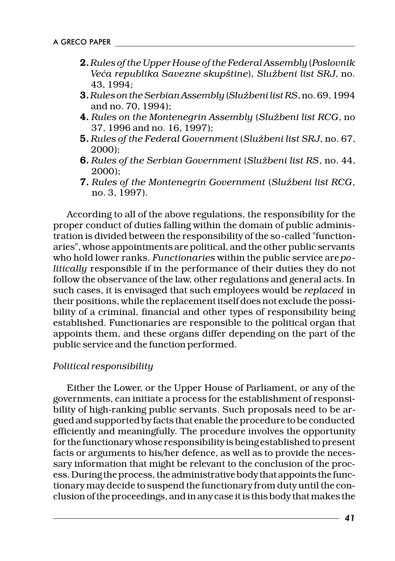- 2. *Rules of the Upper House of the Federal Assembly* (*Poslovnik Ve}a republika Savezne skup{tine*), *Slu`beni list SRJ*, no. 43, 1994;
- 3. *Rules on the Serbian Assembly* (*Slu`beni list RS*, no. 69, 1994 and no. 70, 1994);
- 4. *Rules on the Montenegrin Assembly* (*Slu`beni list RCG*, no 37, 1996 and no. 16, 1997);
- 5. *Rules of the Federal Government* (*Slu`beni list SRJ*, no. 67, 2000);
- 6. *Rules of the Serbian Government* (*Slu`beni list RS*, no. 44, 2000);
- 7. *Rules of the Montenegrin Government* (*Slu`beni list RCG*, no. 3, 1997).

According to all of the above regulations, the responsibility for the proper conduct of duties falling within the domain of public administration is divided between the responsibility of the so-called "functionaries", whose appointments are political, and the other public servants who hold lower ranks. *Functionaries* within the public service are *politically* responsible if in the performance of their duties they do not follow the observance of the law, other regulations and general acts. In such cases, it is envisaged that such employees would be *replaced* in their positions, while the replacement itself does not exclude the possibility of a criminal, financial and other types of responsibility being established. Functionaries are responsible to the political organ that appoints them, and these organs differ depending on the part of the public service and the function performed.

#### *Political responsibility*

Either the Lower, or the Upper House of Parliament, or any of the governments, can initiate a process for the establishment of responsibility of high-ranking public servants. Such proposals need to be argued and supported by facts that enable the procedure to be conducted efficiently and meaningfully. The procedure involves the opportunity for the functionary whose responsibility is being established to present facts or arguments to his/her defence, as well as to provide the necessary information that might be relevant to the conclusion of the process. During the process, the administrative body that appoints the functionary may decide to suspend the functionary from duty until the conclusion of the proceedings, and in any case it is this body that makes the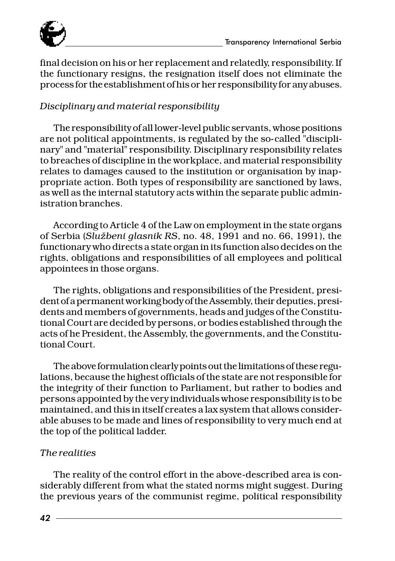

final decision on his or her replacement and relatedly, responsibility. If the functionary resigns, the resignation itself does not eliminate the process for the establishment of his or her responsibility for any abuses.

#### *Disciplinary and material responsibility*

The responsibility of all lower-level public servants, whose positions are not political appointments, is regulated by the so-called "disciplinary" and "material" responsibility. Disciplinary responsibility relates to breaches of discipline in the workplace, and material responsibility relates to damages caused to the institution or organisation by inappropriate action. Both types of responsibility are sanctioned by laws, as well as the internal statutory acts within the separate public administration branches.

According to Article 4 of the Law on employment in the state organs of Serbia (*Slu`beni glasnik RS*, no. 48, 1991 and no. 66, 1991), the functionary who directs a state organ in its function also decides on the rights, obligations and responsibilities of all employees and political appointees in those organs.

The rights, obligations and responsibilities of the President, president of a permanent working body of the Assembly, their deputies, presidents and members of governments, heads and judges of the Constitutional Court are decided by persons, or bodies established through the acts of he President, the Assembly, the governments, and the Constitutional Court.

The above formulation clearly points out the limitations of these regulations, because the highest officials of the state are not responsible for the integrity of their function to Parliament, but rather to bodies and persons appointed by the very individuals whose responsibility is to be maintained, and this in itself creates a lax system that allows considerable abuses to be made and lines of responsibility to very much end at the top of the political ladder.

#### *The realities*

The reality of the control effort in the above-described area is considerably different from what the stated norms might suggest. During the previous years of the communist regime, political responsibility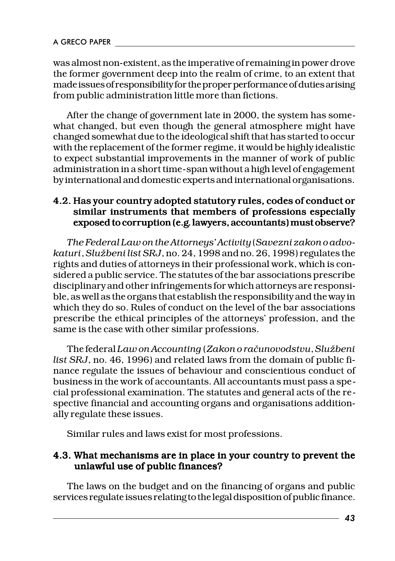was almost non-existent, as the imperative of remaining in power drove the former government deep into the realm of crime, to an extent that made issues of responsibility for the proper performance of duties arising from public administration little more than fictions.

After the change of government late in 2000, the system has somewhat changed, but even though the general atmosphere might have changed somewhat due to the ideological shift that has started to occur with the replacement of the former regime, it would be highly idealistic to expect substantial improvements in the manner of work of public administration in a short time-span without a high level of engagement by international and domestic experts and international organisations.

#### 4.2. Has your country adopted statutory rules, codes of conduct or similar instruments that members of professions especially exposed to corruption (e.g. lawyers, accountants) must observe?

*The Federal Law on the Attorneys' Activity* (*Savezni zakon o advokaturi*, *Slu`beni list SRJ*, no. 24, 1998 and no. 26, 1998) regulates the rights and duties of attorneys in their professional work, which is considered a public service. The statutes of the bar associations prescribe disciplinary and other infringements for which attorneys are responsible, as well as the organs that establish the responsibility and the way in which they do so. Rules of conduct on the level of the bar associations prescribe the ethical principles of the attorneys' profession, and the same is the case with other similar professions.

The federal *Law on Accounting* (*Zakon o ra~unovodstvu*, *Slu`beni list SRJ*, no. 46, 1996) and related laws from the domain of public finance regulate the issues of behaviour and conscientious conduct of business in the work of accountants. All accountants must pass a special professional examination. The statutes and general acts of the respective financial and accounting organs and organisations additionally regulate these issues.

Similar rules and laws exist for most professions.

#### 4.3. What mechanisms are in place in your country to prevent the unlawful use of public finances?

The laws on the budget and on the financing of organs and public services regulate issues relating to the legal disposition of public finance.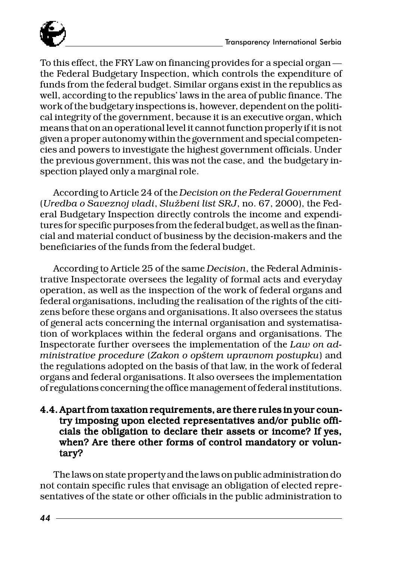

To this effect, the FRY Law on financing provides for a special organ the Federal Budgetary Inspection, which controls the expenditure of funds from the federal budget. Similar organs exist in the republics as well, according to the republics' laws in the area of public finance. The work of the budgetary inspections is, however, dependent on the political integrity of the government, because it is an executive organ, which means that on an operational level it cannot function properly if it is not given a proper autonomy within the government and special competencies and powers to investigate the highest government officials. Under the previous government, this was not the case, and the budgetary inspection played only a marginal role.

According to Article 24 of the *Decision on the Federal Government* (*Uredba o Saveznoj vladi*, *Slu`beni list SRJ*, no. 67, 2000), the Federal Budgetary Inspection directly controls the income and expenditures for specific purposes from the federal budget, as well as the financial and material conduct of business by the decision-makers and the beneficiaries of the funds from the federal budget.

According to Article 25 of the same *Decision*, the Federal Administrative Inspectorate oversees the legality of formal acts and everyday operation, as well as the inspection of the work of federal organs and federal organisations, including the realisation of the rights of the citizens before these organs and organisations. It also oversees the status of general acts concerning the internal organisation and systematisation of workplaces within the federal organs and organisations. The Inspectorate further oversees the implementation of the *Law on administrative procedure* (*Zakon o op{tem upravnom postupku*) and the regulations adopted on the basis of that law, in the work of federal organs and federal organisations. It also oversees the implementation of regulations concerning the office management of federal institutions.

#### 4.4. Apart from taxation requirements, are there rules in your country imposing upon elected representatives and/or public officials the obligation to declare their assets or income? If yes, when? Are there other forms of control mandatory or voluntary?

The laws on state property and the laws on public administration do not contain specific rules that envisage an obligation of elected representatives of the state or other officials in the public administration to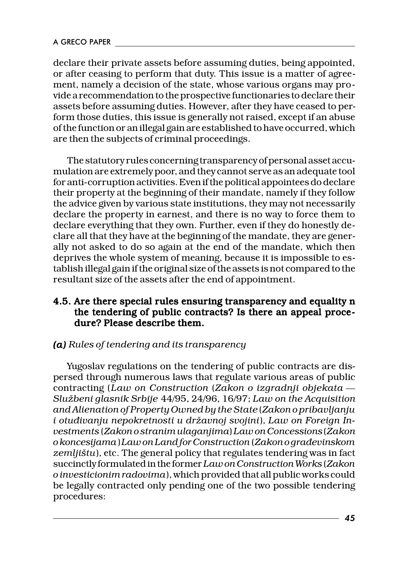declare their private assets before assuming duties, being appointed, or after ceasing to perform that duty. This issue is a matter of agreement, namely a decision of the state, whose various organs may provide a recommendation to the prospective functionaries to declare their assets before assuming duties. However, after they have ceased to perform those duties, this issue is generally not raised, except if an abuse of the function or an illegal gain are established to have occurred, which are then the subjects of criminal proceedings.

The statutory rules concerning transparency of personal asset accumulation are extremely poor, and they cannot serve as an adequate tool for anti-corruption activities. Even if the political appointees do declare their property at the beginning of their mandate, namely if they follow the advice given by various state institutions, they may not necessarily declare the property in earnest, and there is no way to force them to declare everything that they own. Further, even if they do honestly declare all that they have at the beginning of the mandate, they are generally not asked to do so again at the end of the mandate, which then deprives the whole system of meaning, because it is impossible to establish illegal gain if the original size of the assets is not compared to the resultant size of the assets after the end of appointment.

#### 4.5. Are there special rules ensuring transparency and equality n the tendering of public contracts? Is there an appeal proce $dure?$  Please describe them.

#### *(a) Rules of tendering and its transparency (a)*

Yugoslav regulations on the tendering of public contracts are dispersed through numerous laws that regulate various areas of public contracting (*Law on Construction* (*Zakon o izgradnji objekata Slu`beni glasnik Srbije* 44/95, 24/96, 16/97; *Law on the Acquisition and Alienation of Property Owned by the State* (*Zakon o pribavljanju i otuđivanju nepokretnosti u državnoj svojini*), Law on Foreign In*vestments* (*Zakon o stranim ulaganjima*) *Law on Concessions* (*Zakon o koncesijama*) *Law on Land for Construction* (*Zakon o gra|evinskom zemlji{tu*), etc. The general policy that regulates tendering was in fact succinctly formulated in the former *Law on Construction Works* (*Zakon o investicionim radovima*), which provided that all public works could be legally contracted only pending one of the two possible tendering procedures: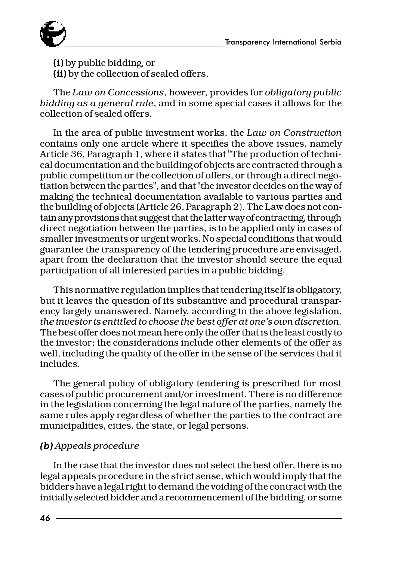

(i) by public bidding, or (i) (ii) by the collection of sealed offers.

The *Law on Concessions*, however, provides for *obligatory public bidding as a general rule*, and in some special cases it allows for the collection of sealed offers.

In the area of public investment works, the *Law on Construction* contains only one article where it specifies the above issues, namely Article 36, Paragraph 1, where it states that "The production of technical documentation and the building of objects are contracted through a public competition or the collection of offers, or through a direct negotiation between the parties", and that "the investor decides on the way of making the technical documentation available to various parties and the building of objects (Article 26, Paragraph 2). The Law does not contain any provisions that suggest that the latter way of contracting, through direct negotiation between the parties, is to be applied only in cases of smaller investments or urgent works. No special conditions that would guarantee the transparency of the tendering procedure are envisaged, apart from the declaration that the investor should secure the equal participation of all interested parties in a public bidding.

This normative regulation implies that tendering itself is obligatory, but it leaves the question of its substantive and procedural transparency largely unanswered. Namely, according to the above legislation, *the investor is entitled to choose the best offer at one's own discretion*. The best offer does not mean here only the offer that is the least costly to the investor; the considerations include other elements of the offer as well, including the quality of the offer in the sense of the services that it includes.

The general policy of obligatory tendering is prescribed for most cases of public procurement and/or investment. There is no difference in the legislation concerning the legal nature of the parties, namely the same rules apply regardless of whether the parties to the contract are municipalities, cities, the state, or legal persons.

#### *(b) Appeals procedure (b)*

In the case that the investor does not select the best offer, there is no legal appeals procedure in the strict sense, which would imply that the bidders have a legal right to demand the voiding of the contract with the initially selected bidder and a recommencement of the bidding, or some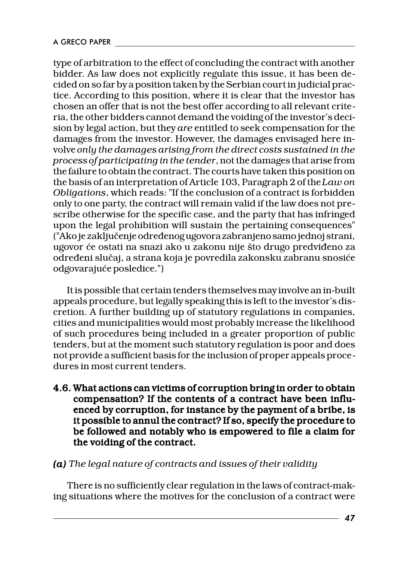type of arbitration to the effect of concluding the contract with another bidder. As law does not explicitly regulate this issue, it has been decided on so far by a position taken by the Serbian court in judicial practice. According to this position, where it is clear that the investor has chosen an offer that is not the best offer according to all relevant criteria, the other bidders cannot demand the voiding of the investor's decision by legal action, but they *are* entitled to seek compensation for the damages from the investor. However, the damages envisaged here involve *only the damages arising from the direct costs sustained in the process of participating in the tender*, not the damages that arise from the failure to obtain the contract. The courts have taken this position on the basis of an interpretation of Article 103, Paragraph 2 of the *Law on Obligations*, which reads: "If the conclusion of a contract is forbidden only to one party, the contract will remain valid if the law does not prescribe otherwise for the specific case, and the party that has infringed upon the legal prohibition will sustain the pertaining consequences" ("Ako je zaključenje određenog ugovora zabranjeno samo jednoj strani, ugovor će ostati na snazi ako u zakonu nije što drugo predviđeno za određeni slučaj, a strana koja je povredila zakonsku zabranu snosiće odgovarajuće posledice.")

It is possible that certain tenders themselves may involve an in-built appeals procedure, but legally speaking this is left to the investor's discretion. A further building up of statutory regulations in companies, cities and municipalities would most probably increase the likelihood of such procedures being included in a greater proportion of public tenders, but at the moment such statutory regulation is poor and does not provide a sufficient basis for the inclusion of proper appeals procedures in most current tenders.

4.6. What actions can victims of corruption bring in order to obtain compensation? If the contents of a contract have been influenced by corruption, for instance by the payment of a bribe, is it possible to annul the contract? If so, specify the procedure to be followed and notably who is empowered to file a claim for the voiding of the contract.

*(a) The legal nature of contracts and issues of their validity (a)*

There is no sufficiently clear regulation in the laws of contract-making situations where the motives for the conclusion of a contract were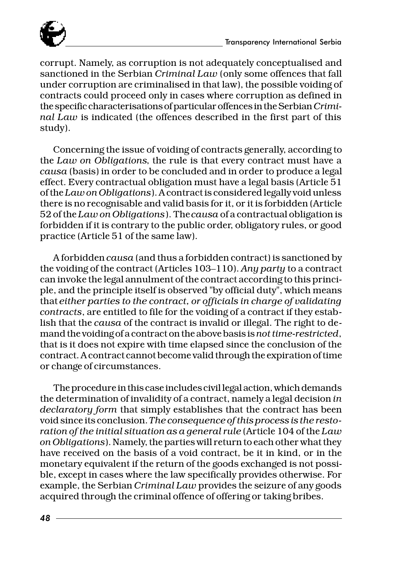

corrupt. Namely, as corruption is not adequately conceptualised and sanctioned in the Serbian *Criminal Law* (only some offences that fall under corruption are criminalised in that law), the possible voiding of contracts could proceed only in cases where corruption as defined in the specific characterisations of particular offences in the Serbian *Criminal Law* is indicated (the offences described in the first part of this study).

Concerning the issue of voiding of contracts generally, according to the *Law on Obligations*, the rule is that every contract must have a *causa* (basis) in order to be concluded and in order to produce a legal effect. Every contractual obligation must have a legal basis (Article 51 of the *Law on Obligations*). A contract is considered legally void unless there is no recognisable and valid basis for it, or it is forbidden (Article 52 of the *Law on Obligations*). The *causa* of a contractual obligation is forbidden if it is contrary to the public order, obligatory rules, or good practice (Article 51 of the same law).

A forbidden *causa* (and thus a forbidden contract) is sanctioned by the voiding of the contract (Articles 103-110). Any party to a contract can invoke the legal annulment of the contract according to this principle, and the principle itself is observed "by official duty", which means that *either parties to the contract, or officials in charge of validating contracts*, are entitled to file for the voiding of a contract if they establish that the *causa* of the contract is invalid or illegal. The right to demand the voiding of a contract on the above basis is *not time-restricted*, that is it does not expire with time elapsed since the conclusion of the contract. A contract cannot become valid through the expiration of time or change of circumstances.

The procedure in this case includes civil legal action, which demands the determination of invalidity of a contract, namely a legal decision *in declaratory form* that simply establishes that the contract has been void since its conclusion. *The consequence of this process is the restoration of the initial situation as a general rule* (Article 104 of the *Law on Obligations*). Namely, the parties will return to each other what they have received on the basis of a void contract, be it in kind, or in the monetary equivalent if the return of the goods exchanged is not possible, except in cases where the law specifically provides otherwise. For example, the Serbian *Criminal Law* provides the seizure of any goods acquired through the criminal offence of offering or taking bribes.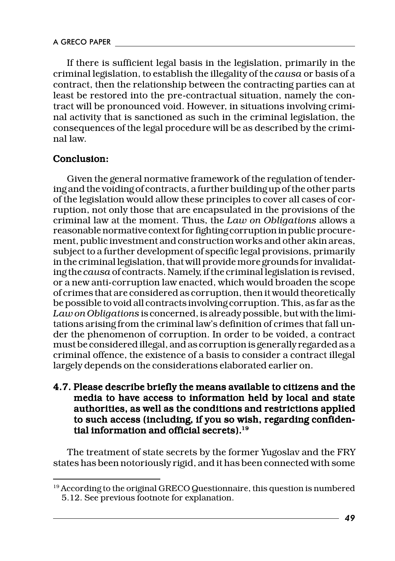If there is sufficient legal basis in the legislation, primarily in the criminal legislation, to establish the illegality of the *causa* or basis of a contract, then the relationship between the contracting parties can at least be restored into the pre-contractual situation, namely the contract will be pronounced void. However, in situations involving criminal activity that is sanctioned as such in the criminal legislation, the consequences of the legal procedure will be as described by the criminal law.

#### Conclusion:

Given the general normative framework of the regulation of tendering and the voiding of contracts, a further building up of the other parts of the legislation would allow these principles to cover all cases of corruption, not only those that are encapsulated in the provisions of the criminal law at the moment. Thus, the *Law on Obligations* allows a reasonable normative context for fighting corruption in public procurement, public investment and construction works and other akin areas, subject to a further development of specific legal provisions, primarily in the criminal legislation, that will provide more grounds for invalidating the *causa* of contracts. Namely, if the criminal legislation is revised, or a new anti-corruption law enacted, which would broaden the scope of crimes that are considered as corruption, then it would theoretically be possible to void all contracts involving corruption. This, as far as the *Law on Obligations* is concerned, is already possible, but with the limitations arising from the criminal law's definition of crimes that fall under the phenomenon of corruption. In order to be voided, a contract must be considered illegal, and as corruption is generally regarded as a criminal offence, the existence of a basis to consider a contract illegal largely depends on the considerations elaborated earlier on.

4.7. Please describe briefly the means available to citizens and the media to have access to information held by local and state authorities, as well as the conditions and restrictions applied to such access (including, if you so wish, regarding confidential information and official secrets). $19$ 

The treatment of state secrets by the former Yugoslav and the FRY states has been notoriously rigid, and it has been connected with some

<sup>&</sup>lt;sup>19</sup> According to the original GRECO Questionnaire, this question is numbered 5.12. See previous footnote for explanation.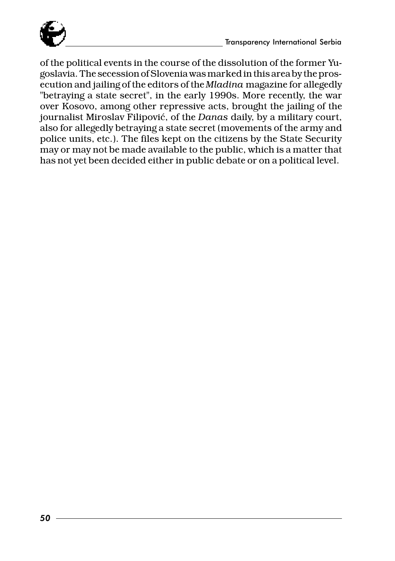

of the political events in the course of the dissolution of the former Yugoslavia. The secession of Slovenia was marked in this area by the prosecution and jailing of the editors of the *Mladina* magazine for allegedly "betraying a state secret", in the early 1990s. More recently, the war over Kosovo, among other repressive acts, brought the jailing of the journalist Miroslav Filipović, of the *Danas* daily, by a military court, also for allegedly betraying a state secret (movements of the army and police units, etc.). The files kept on the citizens by the State Security may or may not be made available to the public, which is a matter that has not yet been decided either in public debate or on a political level.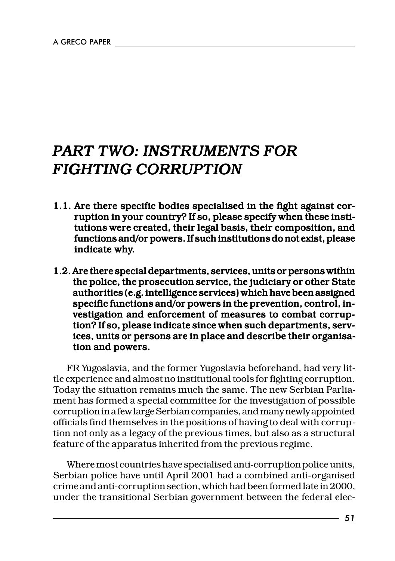# *PART TWO: INSTRUMENTS FOR FIGHTING CORRUPTION*

- 1.1. Are there specific bodies specialised in the fight against corruption in your country? If so, please specify when these institutions were created, their legal basis, their composition, and functions and/or powers. If such institutions do not exist, please indicate why.
- 1.2. Are there special departments, services, units or persons within the police, the prosecution service, the judiciary or other State authorities (e.g. intelligence services) which have been assigned specific functions and/or powers in the prevention, control, investigation and enforcement of measures to combat corruption? If so, please indicate since when such departments, services, units or persons are in place and describe their organisation and powers.

FR Yugoslavia, and the former Yugoslavia beforehand, had very little experience and almost no institutional tools for fighting corruption. Today the situation remains much the same. The new Serbian Parliament has formed a special committee for the investigation of possible corruption in a few large Serbian companies, and many newly appointed officials find themselves in the positions of having to deal with corruption not only as a legacy of the previous times, but also as a structural feature of the apparatus inherited from the previous regime.

Where most countries have specialised anti-corruption police units, Serbian police have until April 2001 had a combined anti-organised crime and anti-corruption section, which had been formed late in 2000, under the transitional Serbian government between the federal elec-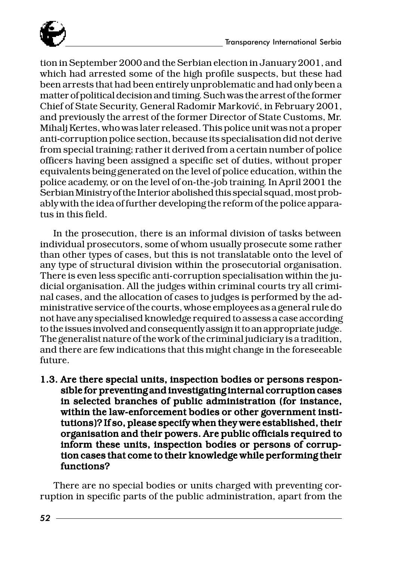

tion in September 2000 and the Serbian election in January 2001, and which had arrested some of the high profile suspects, but these had been arrests that had been entirely unproblematic and had only been a matter of political decision and timing. Such was the arrest of the former Chief of State Security, General Radomir Marković, in February 2001, and previously the arrest of the former Director of State Customs, Mr. Mihalj Kertes, who was later released. This police unit was not a proper anti-corruption police section, because its specialisation did not derive from special training; rather it derived from a certain number of police officers having been assigned a specific set of duties, without proper equivalents being generated on the level of police education, within the police academy, or on the level of on-the-job training. In April 2001 the Serbian Ministry of the Interior abolished this special squad, most probably with the idea of further developing the reform of the police apparatus in this field.

In the prosecution, there is an informal division of tasks between individual prosecutors, some of whom usually prosecute some rather than other types of cases, but this is not translatable onto the level of any type of structural division within the prosecutorial organisation. There is even less specific anti-corruption specialisation within the judicial organisation. All the judges within criminal courts try all criminal cases, and the allocation of cases to judges is performed by the administrative service of the courts, whose employees as a general rule do not have any specialised knowledge required to assess a case according to the issues involved and consequently assign it to an appropriate judge. The generalist nature of the work of the criminal judiciary is a tradition, and there are few indications that this might change in the foreseeable future.

1.3. Are there special units, inspection bodies or persons responsible for preventing and investigating internal corruption cases in selected branches of public administration (for instance, within the law-enforcement bodies or other government institutions)? If so, please specify when they were established, their organisation and their powers. Are public officials required to inform these units, inspection bodies or persons of corruption cases that come to their knowledge while performing their functions?

There are no special bodies or units charged with preventing corruption in specific parts of the public administration, apart from the